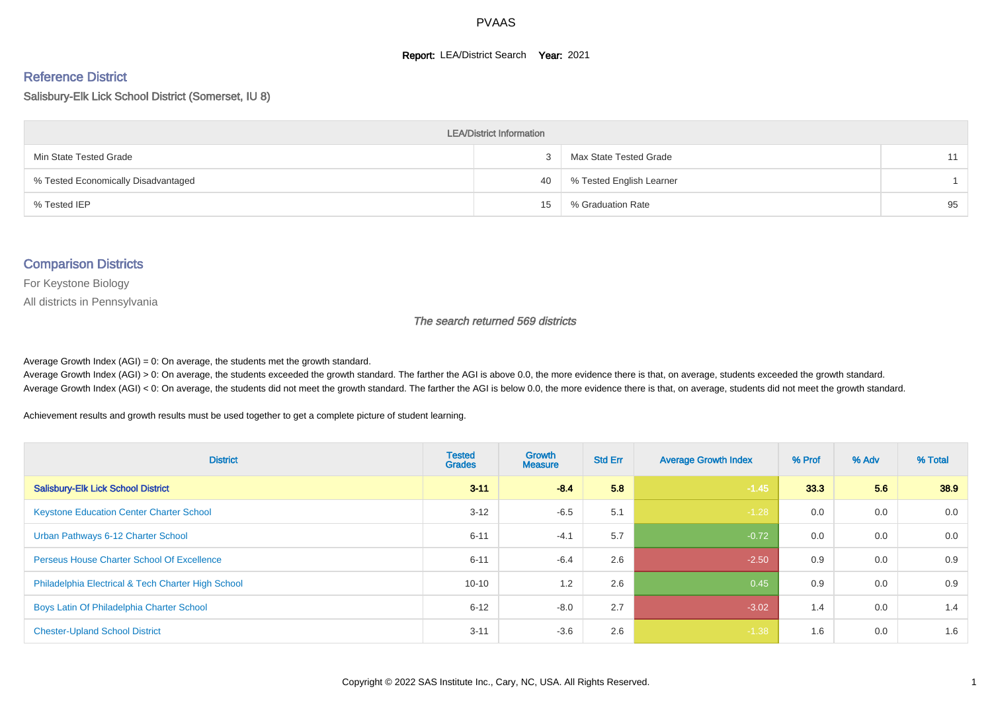#### **Report: LEA/District Search Year: 2021**

# Reference District

#### Salisbury-Elk Lick School District (Somerset, IU 8)

| <b>LEA/District Information</b>     |    |                          |    |  |  |  |  |  |  |  |
|-------------------------------------|----|--------------------------|----|--|--|--|--|--|--|--|
| Min State Tested Grade              |    | Max State Tested Grade   | 11 |  |  |  |  |  |  |  |
| % Tested Economically Disadvantaged | 40 | % Tested English Learner |    |  |  |  |  |  |  |  |
| % Tested IEP                        | 15 | % Graduation Rate        | 95 |  |  |  |  |  |  |  |

#### Comparison Districts

For Keystone Biology

All districts in Pennsylvania

The search returned 569 districts

Average Growth Index  $(AGI) = 0$ : On average, the students met the growth standard.

Average Growth Index (AGI) > 0: On average, the students exceeded the growth standard. The farther the AGI is above 0.0, the more evidence there is that, on average, students exceeded the growth standard. Average Growth Index (AGI) < 0: On average, the students did not meet the growth standard. The farther the AGI is below 0.0, the more evidence there is that, on average, students did not meet the growth standard.

Achievement results and growth results must be used together to get a complete picture of student learning.

| <b>District</b>                                    | <b>Tested</b><br><b>Grades</b> | <b>Growth</b><br><b>Measure</b> | <b>Std Err</b> | <b>Average Growth Index</b> | % Prof | % Adv | % Total |
|----------------------------------------------------|--------------------------------|---------------------------------|----------------|-----------------------------|--------|-------|---------|
| <b>Salisbury-Elk Lick School District</b>          | $3 - 11$                       | $-8.4$                          | 5.8            | $-1.45$                     | 33.3   | 5.6   | 38.9    |
| <b>Keystone Education Center Charter School</b>    | $3 - 12$                       | $-6.5$                          | 5.1            | $-1.28$                     | 0.0    | 0.0   | 0.0     |
| Urban Pathways 6-12 Charter School                 | $6 - 11$                       | $-4.1$                          | 5.7            | $-0.72$                     | 0.0    | 0.0   | 0.0     |
| <b>Perseus House Charter School Of Excellence</b>  | $6 - 11$                       | $-6.4$                          | 2.6            | $-2.50$                     | 0.9    | 0.0   | 0.9     |
| Philadelphia Electrical & Tech Charter High School | $10 - 10$                      | 1.2                             | 2.6            | 0.45                        | 0.9    | 0.0   | 0.9     |
| Boys Latin Of Philadelphia Charter School          | $6 - 12$                       | $-8.0$                          | 2.7            | $-3.02$                     | 1.4    | 0.0   | 1.4     |
| <b>Chester-Upland School District</b>              | $3 - 11$                       | $-3.6$                          | 2.6            | $-1.38$                     | 1.6    | 0.0   | 1.6     |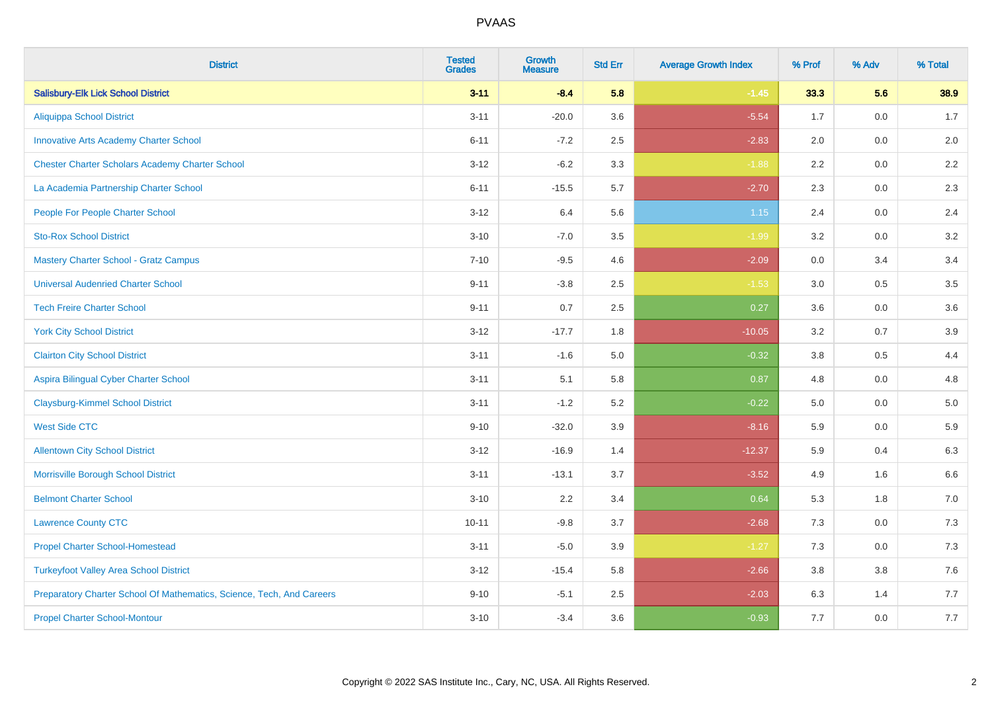| <b>District</b>                                                       | <b>Tested</b><br><b>Grades</b> | <b>Growth</b><br><b>Measure</b> | <b>Std Err</b> | <b>Average Growth Index</b> | % Prof | % Adv   | % Total |
|-----------------------------------------------------------------------|--------------------------------|---------------------------------|----------------|-----------------------------|--------|---------|---------|
| <b>Salisbury-Elk Lick School District</b>                             | $3 - 11$                       | $-8.4$                          | 5.8            | $-1.45$                     | 33.3   | 5.6     | 38.9    |
| <b>Aliquippa School District</b>                                      | $3 - 11$                       | $-20.0$                         | 3.6            | $-5.54$                     | 1.7    | 0.0     | 1.7     |
| <b>Innovative Arts Academy Charter School</b>                         | $6 - 11$                       | $-7.2$                          | 2.5            | $-2.83$                     | 2.0    | 0.0     | 2.0     |
| <b>Chester Charter Scholars Academy Charter School</b>                | $3 - 12$                       | $-6.2$                          | 3.3            | $-1.88$                     | 2.2    | $0.0\,$ | 2.2     |
| La Academia Partnership Charter School                                | $6 - 11$                       | $-15.5$                         | 5.7            | $-2.70$                     | 2.3    | 0.0     | 2.3     |
| People For People Charter School                                      | $3 - 12$                       | 6.4                             | 5.6            | $1.15$                      | 2.4    | 0.0     | 2.4     |
| <b>Sto-Rox School District</b>                                        | $3 - 10$                       | $-7.0$                          | 3.5            | $-1.99$                     | 3.2    | 0.0     | 3.2     |
| <b>Mastery Charter School - Gratz Campus</b>                          | $7 - 10$                       | $-9.5$                          | 4.6            | $-2.09$                     | 0.0    | 3.4     | 3.4     |
| <b>Universal Audenried Charter School</b>                             | $9 - 11$                       | $-3.8$                          | 2.5            | $-1.53$                     | 3.0    | 0.5     | 3.5     |
| <b>Tech Freire Charter School</b>                                     | $9 - 11$                       | 0.7                             | 2.5            | 0.27                        | 3.6    | 0.0     | 3.6     |
| <b>York City School District</b>                                      | $3 - 12$                       | $-17.7$                         | 1.8            | $-10.05$                    | 3.2    | 0.7     | 3.9     |
| <b>Clairton City School District</b>                                  | $3 - 11$                       | $-1.6$                          | 5.0            | $-0.32$                     | 3.8    | 0.5     | 4.4     |
| Aspira Bilingual Cyber Charter School                                 | $3 - 11$                       | 5.1                             | 5.8            | 0.87                        | 4.8    | $0.0\,$ | 4.8     |
| <b>Claysburg-Kimmel School District</b>                               | $3 - 11$                       | $-1.2$                          | 5.2            | $-0.22$                     | 5.0    | 0.0     | $5.0$   |
| <b>West Side CTC</b>                                                  | $9 - 10$                       | $-32.0$                         | 3.9            | $-8.16$                     | 5.9    | 0.0     | 5.9     |
| <b>Allentown City School District</b>                                 | $3 - 12$                       | $-16.9$                         | 1.4            | $-12.37$                    | 5.9    | 0.4     | 6.3     |
| Morrisville Borough School District                                   | $3 - 11$                       | $-13.1$                         | 3.7            | $-3.52$                     | 4.9    | 1.6     | 6.6     |
| <b>Belmont Charter School</b>                                         | $3 - 10$                       | 2.2                             | 3.4            | 0.64                        | 5.3    | 1.8     | $7.0$   |
| <b>Lawrence County CTC</b>                                            | $10 - 11$                      | $-9.8$                          | 3.7            | $-2.68$                     | 7.3    | 0.0     | $7.3$   |
| <b>Propel Charter School-Homestead</b>                                | $3 - 11$                       | $-5.0$                          | 3.9            | $-1.27$                     | 7.3    | 0.0     | $7.3$   |
| <b>Turkeyfoot Valley Area School District</b>                         | $3 - 12$                       | $-15.4$                         | 5.8            | $-2.66$                     | 3.8    | 3.8     | 7.6     |
| Preparatory Charter School Of Mathematics, Science, Tech, And Careers | $9 - 10$                       | $-5.1$                          | 2.5            | $-2.03$                     | 6.3    | 1.4     | 7.7     |
| <b>Propel Charter School-Montour</b>                                  | $3 - 10$                       | $-3.4$                          | 3.6            | $-0.93$                     | 7.7    | 0.0     | 7.7     |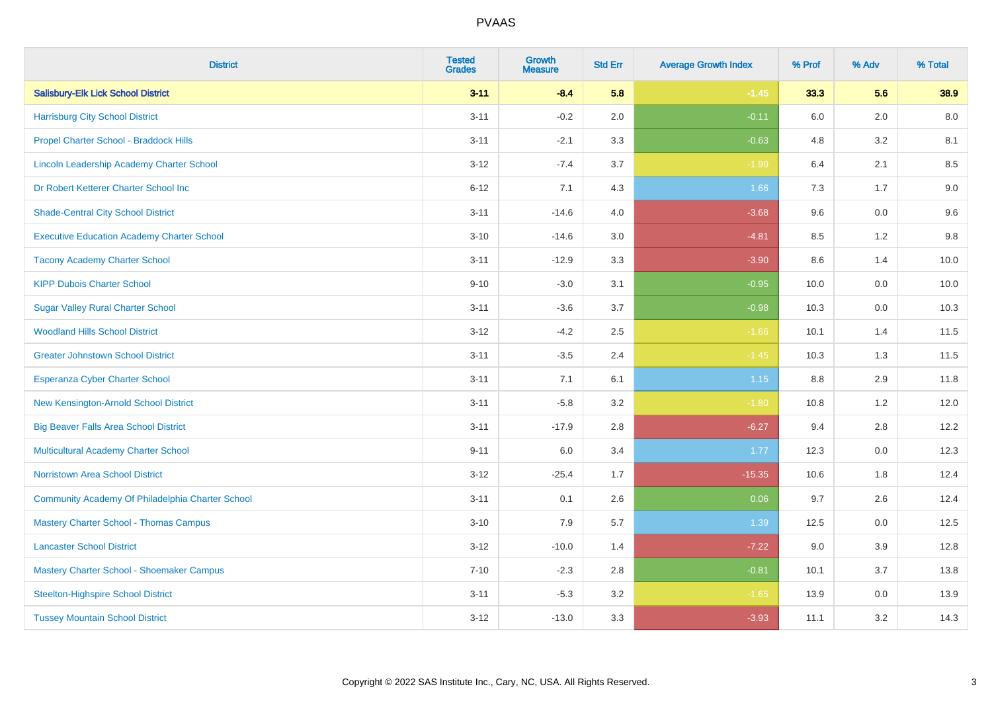| <b>District</b>                                   | <b>Tested</b><br><b>Grades</b> | <b>Growth</b><br><b>Measure</b> | <b>Std Err</b> | <b>Average Growth Index</b> | % Prof | % Adv   | % Total |
|---------------------------------------------------|--------------------------------|---------------------------------|----------------|-----------------------------|--------|---------|---------|
| <b>Salisbury-Elk Lick School District</b>         | $3 - 11$                       | $-8.4$                          | 5.8            | $-1.45$                     | 33.3   | 5.6     | 38.9    |
| <b>Harrisburg City School District</b>            | $3 - 11$                       | $-0.2$                          | 2.0            | $-0.11$                     | 6.0    | 2.0     | 8.0     |
| Propel Charter School - Braddock Hills            | $3 - 11$                       | $-2.1$                          | 3.3            | $-0.63$                     | 4.8    | 3.2     | 8.1     |
| Lincoln Leadership Academy Charter School         | $3 - 12$                       | $-7.4$                          | 3.7            | $-1.99$                     | 6.4    | 2.1     | 8.5     |
| Dr Robert Ketterer Charter School Inc             | $6 - 12$                       | 7.1                             | 4.3            | 1.66                        | 7.3    | 1.7     | 9.0     |
| <b>Shade-Central City School District</b>         | $3 - 11$                       | $-14.6$                         | 4.0            | $-3.68$                     | 9.6    | 0.0     | 9.6     |
| <b>Executive Education Academy Charter School</b> | $3 - 10$                       | $-14.6$                         | 3.0            | $-4.81$                     | 8.5    | 1.2     | 9.8     |
| <b>Tacony Academy Charter School</b>              | $3 - 11$                       | $-12.9$                         | 3.3            | $-3.90$                     | 8.6    | 1.4     | 10.0    |
| <b>KIPP Dubois Charter School</b>                 | $9 - 10$                       | $-3.0$                          | 3.1            | $-0.95$                     | 10.0   | 0.0     | 10.0    |
| <b>Sugar Valley Rural Charter School</b>          | $3 - 11$                       | $-3.6$                          | 3.7            | $-0.98$                     | 10.3   | 0.0     | 10.3    |
| <b>Woodland Hills School District</b>             | $3 - 12$                       | $-4.2$                          | 2.5            | $-1.66$                     | 10.1   | 1.4     | 11.5    |
| <b>Greater Johnstown School District</b>          | $3 - 11$                       | $-3.5$                          | 2.4            | $-1.45$                     | 10.3   | 1.3     | 11.5    |
| Esperanza Cyber Charter School                    | $3 - 11$                       | 7.1                             | 6.1            | 1.15                        | 8.8    | 2.9     | 11.8    |
| New Kensington-Arnold School District             | $3 - 11$                       | $-5.8$                          | 3.2            | $-1.80$                     | 10.8   | 1.2     | 12.0    |
| <b>Big Beaver Falls Area School District</b>      | $3 - 11$                       | $-17.9$                         | 2.8            | $-6.27$                     | 9.4    | 2.8     | 12.2    |
| <b>Multicultural Academy Charter School</b>       | $9 - 11$                       | 6.0                             | 3.4            | 1.77                        | 12.3   | 0.0     | 12.3    |
| <b>Norristown Area School District</b>            | $3 - 12$                       | $-25.4$                         | 1.7            | $-15.35$                    | 10.6   | 1.8     | 12.4    |
| Community Academy Of Philadelphia Charter School  | $3 - 11$                       | 0.1                             | 2.6            | 0.06                        | 9.7    | 2.6     | 12.4    |
| <b>Mastery Charter School - Thomas Campus</b>     | $3 - 10$                       | 7.9                             | 5.7            | 1.39                        | 12.5   | 0.0     | 12.5    |
| <b>Lancaster School District</b>                  | $3 - 12$                       | $-10.0$                         | 1.4            | $-7.22$                     | 9.0    | 3.9     | 12.8    |
| Mastery Charter School - Shoemaker Campus         | $7 - 10$                       | $-2.3$                          | 2.8            | $-0.81$                     | 10.1   | 3.7     | 13.8    |
| <b>Steelton-Highspire School District</b>         | $3 - 11$                       | $-5.3$                          | 3.2            | $-1.65$                     | 13.9   | $0.0\,$ | 13.9    |
| <b>Tussey Mountain School District</b>            | $3 - 12$                       | $-13.0$                         | 3.3            | $-3.93$                     | 11.1   | 3.2     | 14.3    |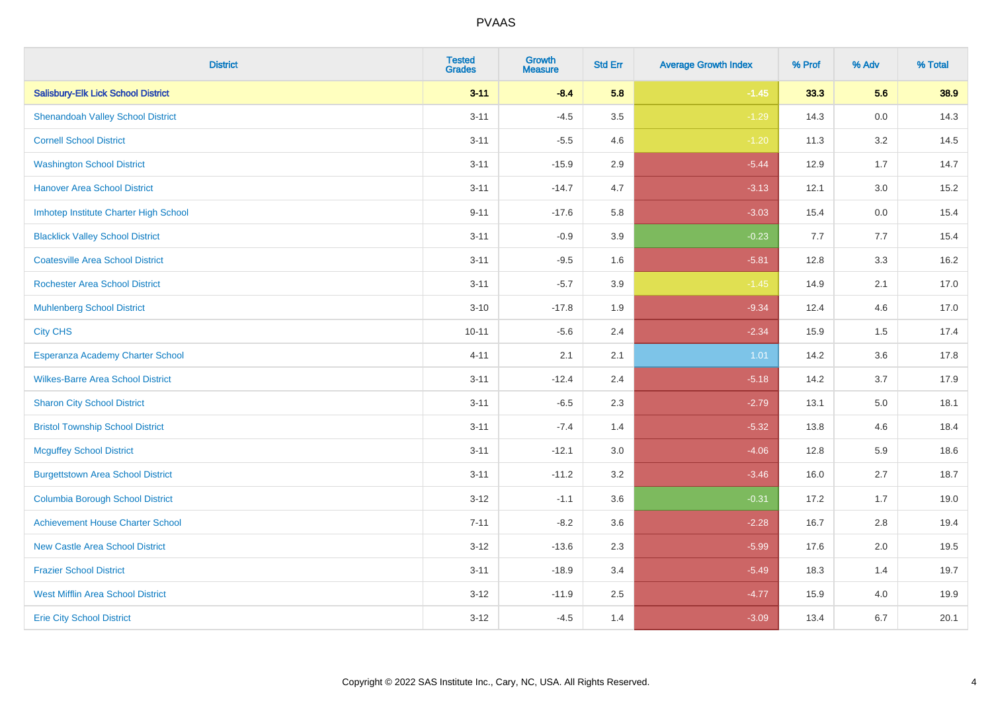| <b>District</b>                           | <b>Tested</b><br><b>Grades</b> | <b>Growth</b><br><b>Measure</b> | <b>Std Err</b> | <b>Average Growth Index</b> | % Prof | % Adv   | % Total |
|-------------------------------------------|--------------------------------|---------------------------------|----------------|-----------------------------|--------|---------|---------|
| <b>Salisbury-Elk Lick School District</b> | $3 - 11$                       | $-8.4$                          | 5.8            | $-1.45$                     | 33.3   | 5.6     | 38.9    |
| <b>Shenandoah Valley School District</b>  | $3 - 11$                       | $-4.5$                          | 3.5            | $-1.29$                     | 14.3   | $0.0\,$ | 14.3    |
| <b>Cornell School District</b>            | $3 - 11$                       | $-5.5$                          | 4.6            | $-1.20$                     | 11.3   | 3.2     | 14.5    |
| <b>Washington School District</b>         | $3 - 11$                       | $-15.9$                         | 2.9            | $-5.44$                     | 12.9   | 1.7     | 14.7    |
| <b>Hanover Area School District</b>       | $3 - 11$                       | $-14.7$                         | 4.7            | $-3.13$                     | 12.1   | 3.0     | 15.2    |
| Imhotep Institute Charter High School     | $9 - 11$                       | $-17.6$                         | 5.8            | $-3.03$                     | 15.4   | 0.0     | 15.4    |
| <b>Blacklick Valley School District</b>   | $3 - 11$                       | $-0.9$                          | 3.9            | $-0.23$                     | 7.7    | 7.7     | 15.4    |
| <b>Coatesville Area School District</b>   | $3 - 11$                       | $-9.5$                          | 1.6            | $-5.81$                     | 12.8   | 3.3     | 16.2    |
| <b>Rochester Area School District</b>     | $3 - 11$                       | $-5.7$                          | 3.9            | $-1.45$                     | 14.9   | 2.1     | 17.0    |
| <b>Muhlenberg School District</b>         | $3 - 10$                       | $-17.8$                         | 1.9            | $-9.34$                     | 12.4   | 4.6     | 17.0    |
| <b>City CHS</b>                           | $10 - 11$                      | $-5.6$                          | 2.4            | $-2.34$                     | 15.9   | 1.5     | 17.4    |
| Esperanza Academy Charter School          | $4 - 11$                       | 2.1                             | 2.1            | 1.01                        | 14.2   | 3.6     | 17.8    |
| <b>Wilkes-Barre Area School District</b>  | $3 - 11$                       | $-12.4$                         | 2.4            | $-5.18$                     | 14.2   | 3.7     | 17.9    |
| <b>Sharon City School District</b>        | $3 - 11$                       | $-6.5$                          | 2.3            | $-2.79$                     | 13.1   | 5.0     | 18.1    |
| <b>Bristol Township School District</b>   | $3 - 11$                       | $-7.4$                          | 1.4            | $-5.32$                     | 13.8   | 4.6     | 18.4    |
| <b>Mcguffey School District</b>           | $3 - 11$                       | $-12.1$                         | 3.0            | $-4.06$                     | 12.8   | 5.9     | 18.6    |
| <b>Burgettstown Area School District</b>  | $3 - 11$                       | $-11.2$                         | 3.2            | $-3.46$                     | 16.0   | 2.7     | 18.7    |
| <b>Columbia Borough School District</b>   | $3 - 12$                       | $-1.1$                          | 3.6            | $-0.31$                     | 17.2   | 1.7     | 19.0    |
| <b>Achievement House Charter School</b>   | $7 - 11$                       | $-8.2$                          | 3.6            | $-2.28$                     | 16.7   | 2.8     | 19.4    |
| <b>New Castle Area School District</b>    | $3 - 12$                       | $-13.6$                         | 2.3            | $-5.99$                     | 17.6   | 2.0     | 19.5    |
| <b>Frazier School District</b>            | $3 - 11$                       | $-18.9$                         | 3.4            | $-5.49$                     | 18.3   | 1.4     | 19.7    |
| <b>West Mifflin Area School District</b>  | $3 - 12$                       | $-11.9$                         | 2.5            | $-4.77$                     | 15.9   | 4.0     | 19.9    |
| <b>Erie City School District</b>          | $3 - 12$                       | $-4.5$                          | 1.4            | $-3.09$                     | 13.4   | 6.7     | 20.1    |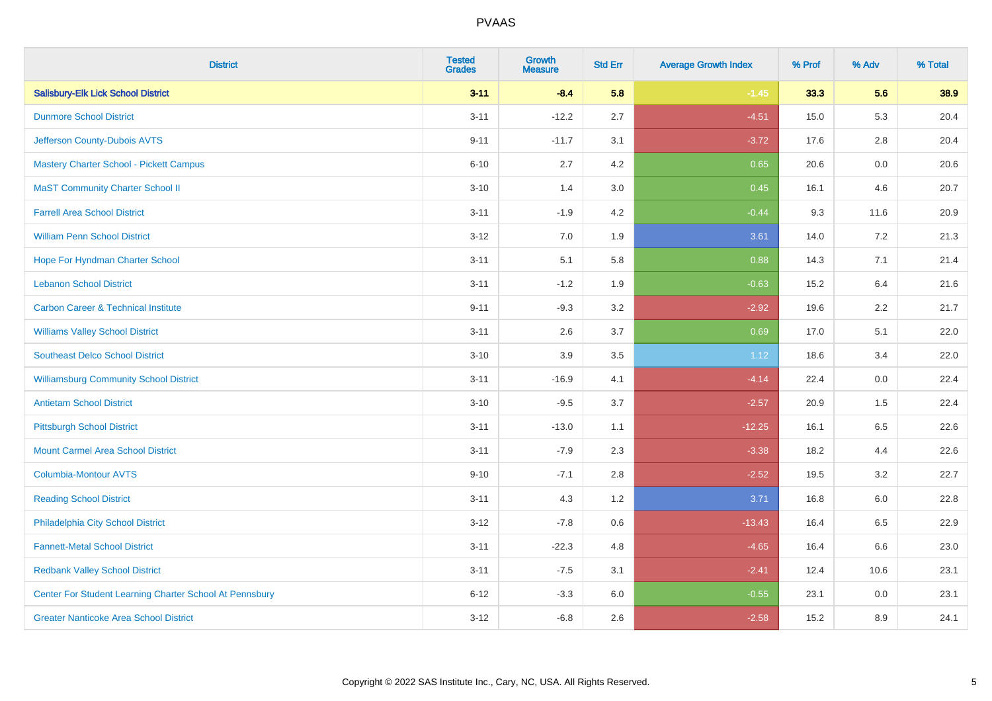| <b>District</b>                                         | <b>Tested</b><br><b>Grades</b> | <b>Growth</b><br><b>Measure</b> | <b>Std Err</b> | <b>Average Growth Index</b> | % Prof | % Adv   | % Total |
|---------------------------------------------------------|--------------------------------|---------------------------------|----------------|-----------------------------|--------|---------|---------|
| <b>Salisbury-Elk Lick School District</b>               | $3 - 11$                       | $-8.4$                          | 5.8            | $-1.45$                     | 33.3   | 5.6     | 38.9    |
| <b>Dunmore School District</b>                          | $3 - 11$                       | $-12.2$                         | 2.7            | $-4.51$                     | 15.0   | 5.3     | 20.4    |
| Jefferson County-Dubois AVTS                            | $9 - 11$                       | $-11.7$                         | 3.1            | $-3.72$                     | 17.6   | 2.8     | 20.4    |
| <b>Mastery Charter School - Pickett Campus</b>          | $6 - 10$                       | 2.7                             | 4.2            | 0.65                        | 20.6   | $0.0\,$ | 20.6    |
| <b>MaST Community Charter School II</b>                 | $3 - 10$                       | 1.4                             | 3.0            | 0.45                        | 16.1   | 4.6     | 20.7    |
| <b>Farrell Area School District</b>                     | $3 - 11$                       | $-1.9$                          | 4.2            | $-0.44$                     | 9.3    | 11.6    | 20.9    |
| <b>William Penn School District</b>                     | $3 - 12$                       | 7.0                             | 1.9            | 3.61                        | 14.0   | 7.2     | 21.3    |
| Hope For Hyndman Charter School                         | $3 - 11$                       | 5.1                             | 5.8            | 0.88                        | 14.3   | 7.1     | 21.4    |
| <b>Lebanon School District</b>                          | $3 - 11$                       | $-1.2$                          | 1.9            | $-0.63$                     | 15.2   | 6.4     | 21.6    |
| <b>Carbon Career &amp; Technical Institute</b>          | $9 - 11$                       | $-9.3$                          | 3.2            | $-2.92$                     | 19.6   | $2.2\,$ | 21.7    |
| <b>Williams Valley School District</b>                  | $3 - 11$                       | 2.6                             | 3.7            | 0.69                        | 17.0   | 5.1     | 22.0    |
| <b>Southeast Delco School District</b>                  | $3 - 10$                       | 3.9                             | 3.5            | 1.12                        | 18.6   | 3.4     | 22.0    |
| <b>Williamsburg Community School District</b>           | $3 - 11$                       | $-16.9$                         | 4.1            | $-4.14$                     | 22.4   | 0.0     | 22.4    |
| <b>Antietam School District</b>                         | $3 - 10$                       | $-9.5$                          | 3.7            | $-2.57$                     | 20.9   | 1.5     | 22.4    |
| <b>Pittsburgh School District</b>                       | $3 - 11$                       | $-13.0$                         | 1.1            | $-12.25$                    | 16.1   | 6.5     | 22.6    |
| <b>Mount Carmel Area School District</b>                | $3 - 11$                       | $-7.9$                          | 2.3            | $-3.38$                     | 18.2   | 4.4     | 22.6    |
| <b>Columbia-Montour AVTS</b>                            | $9 - 10$                       | $-7.1$                          | 2.8            | $-2.52$                     | 19.5   | 3.2     | 22.7    |
| <b>Reading School District</b>                          | $3 - 11$                       | 4.3                             | 1.2            | 3.71                        | 16.8   | $6.0\,$ | 22.8    |
| Philadelphia City School District                       | $3 - 12$                       | $-7.8$                          | 0.6            | $-13.43$                    | 16.4   | 6.5     | 22.9    |
| <b>Fannett-Metal School District</b>                    | $3 - 11$                       | $-22.3$                         | 4.8            | $-4.65$                     | 16.4   | 6.6     | 23.0    |
| <b>Redbank Valley School District</b>                   | $3 - 11$                       | $-7.5$                          | 3.1            | $-2.41$                     | 12.4   | 10.6    | 23.1    |
| Center For Student Learning Charter School At Pennsbury | $6 - 12$                       | $-3.3$                          | 6.0            | $-0.55$                     | 23.1   | 0.0     | 23.1    |
| <b>Greater Nanticoke Area School District</b>           | $3 - 12$                       | $-6.8$                          | 2.6            | $-2.58$                     | 15.2   | 8.9     | 24.1    |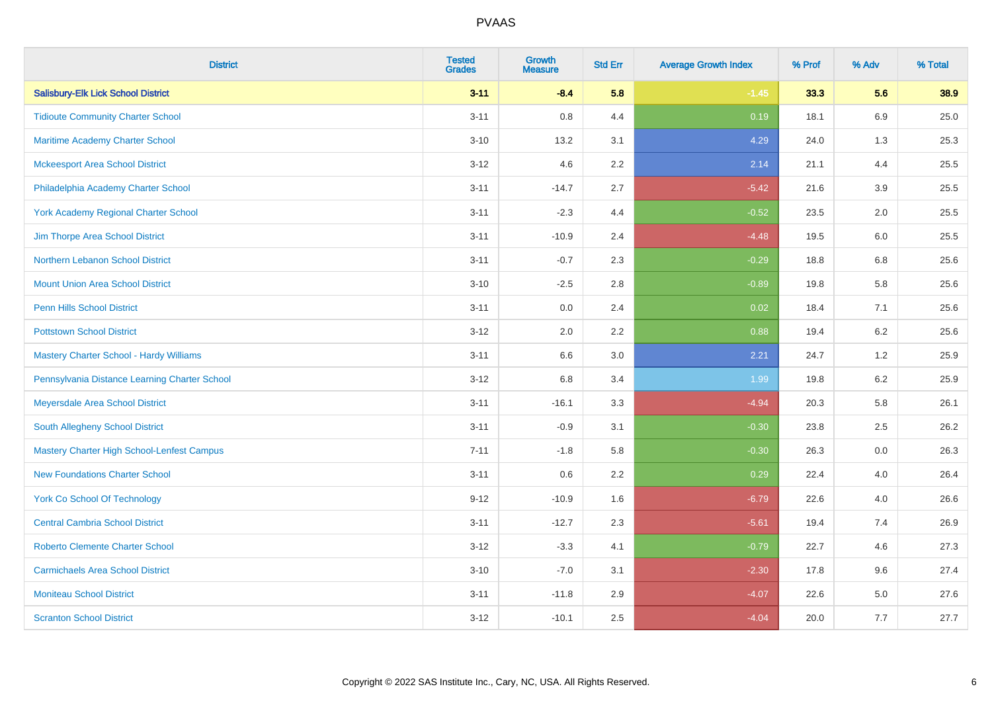| <b>District</b>                                   | <b>Tested</b><br><b>Grades</b> | <b>Growth</b><br><b>Measure</b> | <b>Std Err</b> | <b>Average Growth Index</b> | % Prof | % Adv   | % Total |
|---------------------------------------------------|--------------------------------|---------------------------------|----------------|-----------------------------|--------|---------|---------|
| <b>Salisbury-Elk Lick School District</b>         | $3 - 11$                       | $-8.4$                          | 5.8            | $-1.45$                     | 33.3   | 5.6     | 38.9    |
| <b>Tidioute Community Charter School</b>          | $3 - 11$                       | $0.8\,$                         | 4.4            | 0.19                        | 18.1   | $6.9\,$ | 25.0    |
| <b>Maritime Academy Charter School</b>            | $3 - 10$                       | 13.2                            | 3.1            | 4.29                        | 24.0   | 1.3     | 25.3    |
| <b>Mckeesport Area School District</b>            | $3 - 12$                       | 4.6                             | 2.2            | 2.14                        | 21.1   | 4.4     | 25.5    |
| Philadelphia Academy Charter School               | $3 - 11$                       | $-14.7$                         | 2.7            | $-5.42$                     | 21.6   | 3.9     | 25.5    |
| <b>York Academy Regional Charter School</b>       | $3 - 11$                       | $-2.3$                          | 4.4            | $-0.52$                     | 23.5   | 2.0     | 25.5    |
| Jim Thorpe Area School District                   | $3 - 11$                       | $-10.9$                         | 2.4            | $-4.48$                     | 19.5   | 6.0     | 25.5    |
| Northern Lebanon School District                  | $3 - 11$                       | $-0.7$                          | 2.3            | $-0.29$                     | 18.8   | 6.8     | 25.6    |
| <b>Mount Union Area School District</b>           | $3 - 10$                       | $-2.5$                          | 2.8            | $-0.89$                     | 19.8   | 5.8     | 25.6    |
| <b>Penn Hills School District</b>                 | $3 - 11$                       | 0.0                             | 2.4            | 0.02                        | 18.4   | 7.1     | 25.6    |
| <b>Pottstown School District</b>                  | $3 - 12$                       | 2.0                             | 2.2            | 0.88                        | 19.4   | 6.2     | 25.6    |
| <b>Mastery Charter School - Hardy Williams</b>    | $3 - 11$                       | 6.6                             | 3.0            | 2.21                        | 24.7   | 1.2     | 25.9    |
| Pennsylvania Distance Learning Charter School     | $3 - 12$                       | $6.8\,$                         | 3.4            | 1.99                        | 19.8   | $6.2\,$ | 25.9    |
| Meyersdale Area School District                   | $3 - 11$                       | $-16.1$                         | 3.3            | $-4.94$                     | 20.3   | 5.8     | 26.1    |
| South Allegheny School District                   | $3 - 11$                       | $-0.9$                          | 3.1            | $-0.30$                     | 23.8   | 2.5     | 26.2    |
| <b>Mastery Charter High School-Lenfest Campus</b> | $7 - 11$                       | $-1.8$                          | 5.8            | $-0.30$                     | 26.3   | $0.0\,$ | 26.3    |
| <b>New Foundations Charter School</b>             | $3 - 11$                       | 0.6                             | 2.2            | 0.29                        | 22.4   | 4.0     | 26.4    |
| <b>York Co School Of Technology</b>               | $9 - 12$                       | $-10.9$                         | 1.6            | $-6.79$                     | 22.6   | 4.0     | 26.6    |
| <b>Central Cambria School District</b>            | $3 - 11$                       | $-12.7$                         | 2.3            | $-5.61$                     | 19.4   | 7.4     | 26.9    |
| <b>Roberto Clemente Charter School</b>            | $3 - 12$                       | $-3.3$                          | 4.1            | $-0.79$                     | 22.7   | 4.6     | 27.3    |
| <b>Carmichaels Area School District</b>           | $3 - 10$                       | $-7.0$                          | 3.1            | $-2.30$                     | 17.8   | 9.6     | 27.4    |
| <b>Moniteau School District</b>                   | $3 - 11$                       | $-11.8$                         | 2.9            | $-4.07$                     | 22.6   | 5.0     | 27.6    |
| <b>Scranton School District</b>                   | $3 - 12$                       | $-10.1$                         | 2.5            | $-4.04$                     | 20.0   | 7.7     | 27.7    |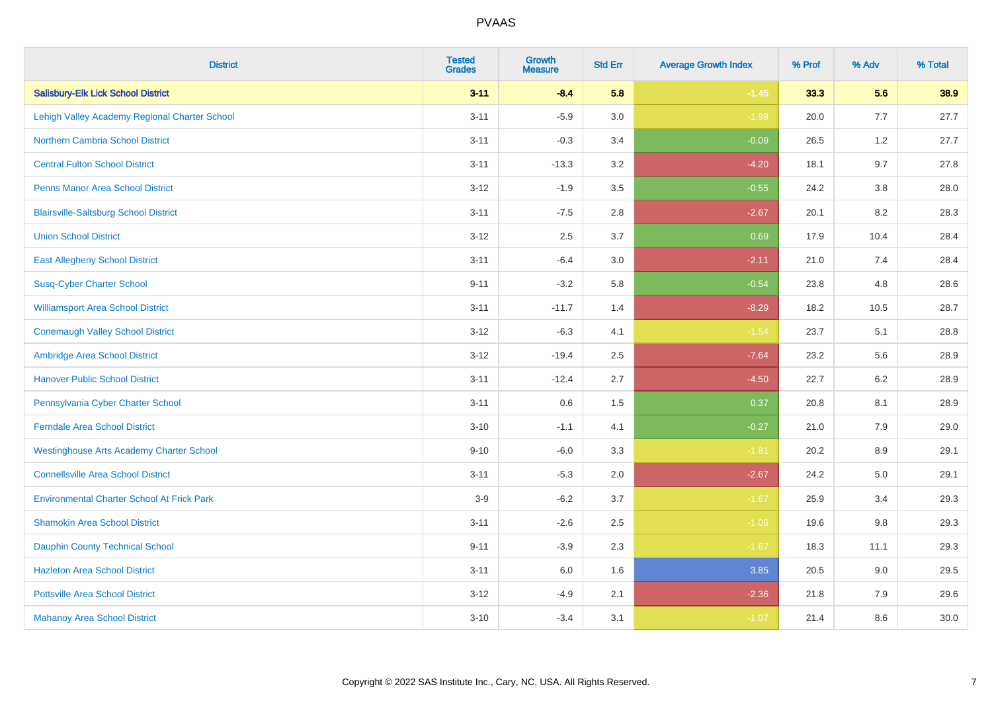| <b>District</b>                                   | <b>Tested</b><br><b>Grades</b> | <b>Growth</b><br><b>Measure</b> | <b>Std Err</b> | <b>Average Growth Index</b> | % Prof | % Adv   | % Total |
|---------------------------------------------------|--------------------------------|---------------------------------|----------------|-----------------------------|--------|---------|---------|
| <b>Salisbury-Elk Lick School District</b>         | $3 - 11$                       | $-8.4$                          | 5.8            | $-1.45$                     | 33.3   | 5.6     | 38.9    |
| Lehigh Valley Academy Regional Charter School     | $3 - 11$                       | $-5.9$                          | 3.0            | $-1.98$                     | 20.0   | 7.7     | 27.7    |
| <b>Northern Cambria School District</b>           | $3 - 11$                       | $-0.3$                          | 3.4            | $-0.09$                     | 26.5   | 1.2     | 27.7    |
| <b>Central Fulton School District</b>             | $3 - 11$                       | $-13.3$                         | 3.2            | $-4.20$                     | 18.1   | 9.7     | 27.8    |
| <b>Penns Manor Area School District</b>           | $3 - 12$                       | $-1.9$                          | 3.5            | $-0.55$                     | 24.2   | 3.8     | 28.0    |
| <b>Blairsville-Saltsburg School District</b>      | $3 - 11$                       | $-7.5$                          | 2.8            | $-2.67$                     | 20.1   | 8.2     | 28.3    |
| <b>Union School District</b>                      | $3 - 12$                       | 2.5                             | 3.7            | 0.69                        | 17.9   | 10.4    | 28.4    |
| <b>East Allegheny School District</b>             | $3 - 11$                       | $-6.4$                          | 3.0            | $-2.11$                     | 21.0   | 7.4     | 28.4    |
| <b>Susq-Cyber Charter School</b>                  | $9 - 11$                       | $-3.2$                          | 5.8            | $-0.54$                     | 23.8   | 4.8     | 28.6    |
| <b>Williamsport Area School District</b>          | $3 - 11$                       | $-11.7$                         | 1.4            | $-8.29$                     | 18.2   | 10.5    | 28.7    |
| <b>Conemaugh Valley School District</b>           | $3 - 12$                       | $-6.3$                          | 4.1            | $-1.54$                     | 23.7   | 5.1     | 28.8    |
| Ambridge Area School District                     | $3 - 12$                       | $-19.4$                         | 2.5            | $-7.64$                     | 23.2   | 5.6     | 28.9    |
| <b>Hanover Public School District</b>             | $3 - 11$                       | $-12.4$                         | 2.7            | $-4.50$                     | 22.7   | $6.2\,$ | 28.9    |
| Pennsylvania Cyber Charter School                 | $3 - 11$                       | 0.6                             | 1.5            | 0.37                        | 20.8   | 8.1     | 28.9    |
| <b>Ferndale Area School District</b>              | $3 - 10$                       | $-1.1$                          | 4.1            | $-0.27$                     | 21.0   | 7.9     | 29.0    |
| <b>Westinghouse Arts Academy Charter School</b>   | $9 - 10$                       | $-6.0$                          | 3.3            | $-1.81$                     | 20.2   | 8.9     | 29.1    |
| <b>Connellsville Area School District</b>         | $3 - 11$                       | $-5.3$                          | 2.0            | $-2.67$                     | 24.2   | 5.0     | 29.1    |
| <b>Environmental Charter School At Frick Park</b> | $3-9$                          | $-6.2$                          | 3.7            | $-1.67$                     | 25.9   | 3.4     | 29.3    |
| <b>Shamokin Area School District</b>              | $3 - 11$                       | $-2.6$                          | 2.5            | $-1.06$                     | 19.6   | 9.8     | 29.3    |
| <b>Dauphin County Technical School</b>            | $9 - 11$                       | $-3.9$                          | 2.3            | $-1.67$                     | 18.3   | 11.1    | 29.3    |
| <b>Hazleton Area School District</b>              | $3 - 11$                       | 6.0                             | 1.6            | 3.85                        | 20.5   | 9.0     | 29.5    |
| <b>Pottsville Area School District</b>            | $3 - 12$                       | $-4.9$                          | 2.1            | $-2.36$                     | 21.8   | 7.9     | 29.6    |
| <b>Mahanoy Area School District</b>               | $3 - 10$                       | $-3.4$                          | 3.1            | $-1.07$                     | 21.4   | 8.6     | 30.0    |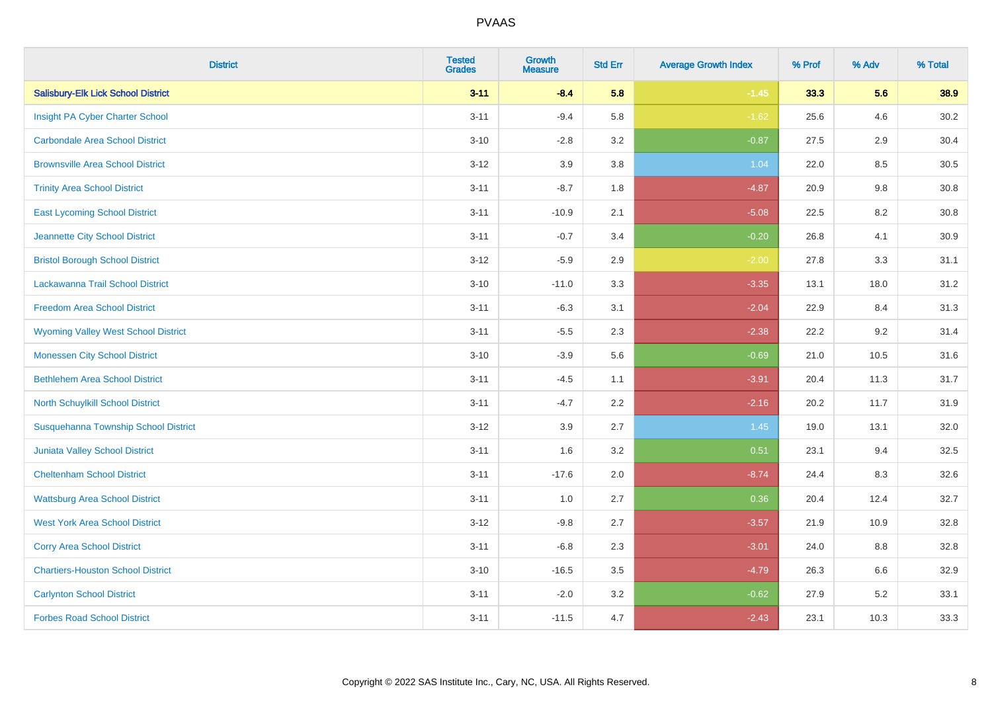| <b>District</b>                            | <b>Tested</b><br><b>Grades</b> | <b>Growth</b><br><b>Measure</b> | <b>Std Err</b> | <b>Average Growth Index</b> | % Prof | % Adv | % Total |
|--------------------------------------------|--------------------------------|---------------------------------|----------------|-----------------------------|--------|-------|---------|
| <b>Salisbury-Elk Lick School District</b>  | $3 - 11$                       | $-8.4$                          | 5.8            | $-1.45$                     | 33.3   | 5.6   | 38.9    |
| Insight PA Cyber Charter School            | $3 - 11$                       | $-9.4$                          | 5.8            | $-1.62$                     | 25.6   | 4.6   | 30.2    |
| <b>Carbondale Area School District</b>     | $3 - 10$                       | $-2.8$                          | 3.2            | $-0.87$                     | 27.5   | 2.9   | 30.4    |
| <b>Brownsville Area School District</b>    | $3 - 12$                       | 3.9                             | 3.8            | 1.04                        | 22.0   | 8.5   | 30.5    |
| <b>Trinity Area School District</b>        | $3 - 11$                       | $-8.7$                          | 1.8            | $-4.87$                     | 20.9   | 9.8   | 30.8    |
| <b>East Lycoming School District</b>       | $3 - 11$                       | $-10.9$                         | 2.1            | $-5.08$                     | 22.5   | 8.2   | 30.8    |
| Jeannette City School District             | $3 - 11$                       | $-0.7$                          | 3.4            | $-0.20$                     | 26.8   | 4.1   | 30.9    |
| <b>Bristol Borough School District</b>     | $3 - 12$                       | $-5.9$                          | 2.9            | $-2.00$                     | 27.8   | 3.3   | 31.1    |
| Lackawanna Trail School District           | $3 - 10$                       | $-11.0$                         | 3.3            | $-3.35$                     | 13.1   | 18.0  | 31.2    |
| <b>Freedom Area School District</b>        | $3 - 11$                       | $-6.3$                          | 3.1            | $-2.04$                     | 22.9   | 8.4   | 31.3    |
| <b>Wyoming Valley West School District</b> | $3 - 11$                       | $-5.5$                          | 2.3            | $-2.38$                     | 22.2   | 9.2   | 31.4    |
| <b>Monessen City School District</b>       | $3 - 10$                       | $-3.9$                          | 5.6            | $-0.69$                     | 21.0   | 10.5  | 31.6    |
| <b>Bethlehem Area School District</b>      | $3 - 11$                       | $-4.5$                          | 1.1            | $-3.91$                     | 20.4   | 11.3  | 31.7    |
| North Schuylkill School District           | $3 - 11$                       | $-4.7$                          | 2.2            | $-2.16$                     | 20.2   | 11.7  | 31.9    |
| Susquehanna Township School District       | $3 - 12$                       | 3.9                             | 2.7            | 1.45                        | 19.0   | 13.1  | 32.0    |
| Juniata Valley School District             | $3 - 11$                       | 1.6                             | 3.2            | 0.51                        | 23.1   | 9.4   | 32.5    |
| <b>Cheltenham School District</b>          | $3 - 11$                       | $-17.6$                         | 2.0            | $-8.74$                     | 24.4   | 8.3   | 32.6    |
| <b>Wattsburg Area School District</b>      | $3 - 11$                       | 1.0                             | 2.7            | 0.36                        | 20.4   | 12.4  | 32.7    |
| <b>West York Area School District</b>      | $3 - 12$                       | $-9.8$                          | 2.7            | $-3.57$                     | 21.9   | 10.9  | 32.8    |
| <b>Corry Area School District</b>          | $3 - 11$                       | $-6.8$                          | 2.3            | $-3.01$                     | 24.0   | 8.8   | 32.8    |
| <b>Chartiers-Houston School District</b>   | $3 - 10$                       | $-16.5$                         | 3.5            | $-4.79$                     | 26.3   | 6.6   | 32.9    |
| <b>Carlynton School District</b>           | $3 - 11$                       | $-2.0$                          | 3.2            | $-0.62$                     | 27.9   | 5.2   | 33.1    |
| <b>Forbes Road School District</b>         | $3 - 11$                       | $-11.5$                         | 4.7            | $-2.43$                     | 23.1   | 10.3  | 33.3    |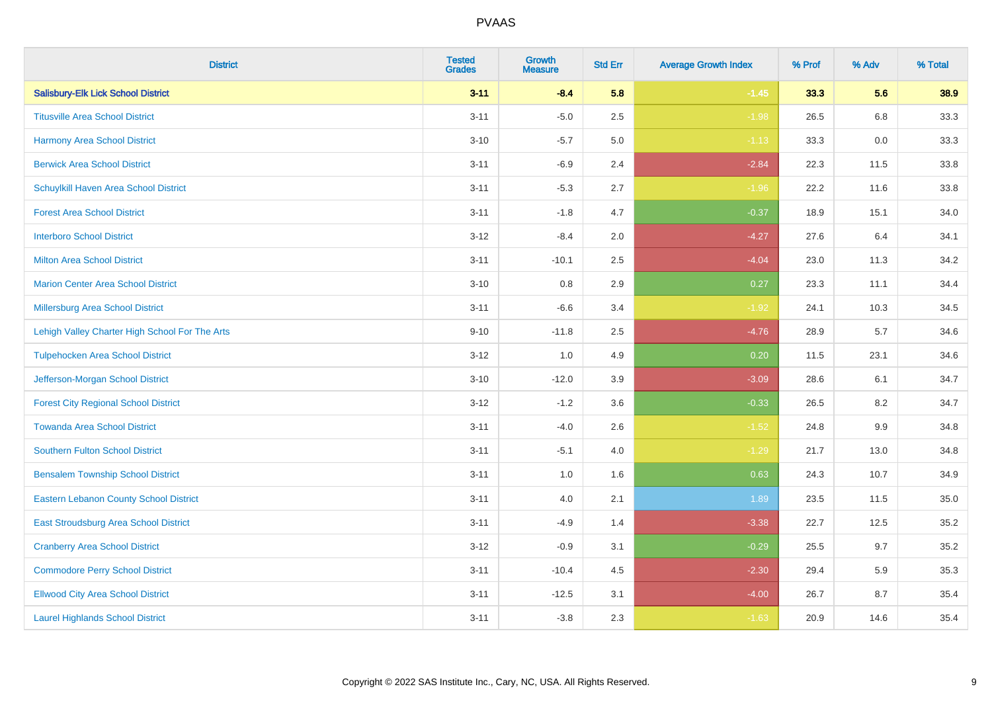| <b>District</b>                                | <b>Tested</b><br><b>Grades</b> | <b>Growth</b><br><b>Measure</b> | <b>Std Err</b> | <b>Average Growth Index</b> | % Prof | % Adv | % Total |
|------------------------------------------------|--------------------------------|---------------------------------|----------------|-----------------------------|--------|-------|---------|
| <b>Salisbury-Elk Lick School District</b>      | $3 - 11$                       | $-8.4$                          | 5.8            | $-1.45$                     | 33.3   | 5.6   | 38.9    |
| <b>Titusville Area School District</b>         | $3 - 11$                       | $-5.0$                          | 2.5            | $-1.98$                     | 26.5   | 6.8   | 33.3    |
| <b>Harmony Area School District</b>            | $3 - 10$                       | $-5.7$                          | 5.0            | $-1.13$                     | 33.3   | 0.0   | 33.3    |
| <b>Berwick Area School District</b>            | $3 - 11$                       | $-6.9$                          | 2.4            | $-2.84$                     | 22.3   | 11.5  | 33.8    |
| Schuylkill Haven Area School District          | $3 - 11$                       | $-5.3$                          | 2.7            | $-1.96$                     | 22.2   | 11.6  | 33.8    |
| <b>Forest Area School District</b>             | $3 - 11$                       | $-1.8$                          | 4.7            | $-0.37$                     | 18.9   | 15.1  | 34.0    |
| <b>Interboro School District</b>               | $3 - 12$                       | $-8.4$                          | 2.0            | $-4.27$                     | 27.6   | 6.4   | 34.1    |
| <b>Milton Area School District</b>             | $3 - 11$                       | $-10.1$                         | 2.5            | $-4.04$                     | 23.0   | 11.3  | 34.2    |
| <b>Marion Center Area School District</b>      | $3 - 10$                       | 0.8                             | 2.9            | 0.27                        | 23.3   | 11.1  | 34.4    |
| <b>Millersburg Area School District</b>        | $3 - 11$                       | $-6.6$                          | 3.4            | $-1.92$                     | 24.1   | 10.3  | 34.5    |
| Lehigh Valley Charter High School For The Arts | $9 - 10$                       | $-11.8$                         | 2.5            | $-4.76$                     | 28.9   | 5.7   | 34.6    |
| <b>Tulpehocken Area School District</b>        | $3 - 12$                       | 1.0                             | 4.9            | 0.20                        | 11.5   | 23.1  | 34.6    |
| Jefferson-Morgan School District               | $3 - 10$                       | $-12.0$                         | 3.9            | $-3.09$                     | 28.6   | 6.1   | 34.7    |
| <b>Forest City Regional School District</b>    | $3 - 12$                       | $-1.2$                          | 3.6            | $-0.33$                     | 26.5   | 8.2   | 34.7    |
| <b>Towanda Area School District</b>            | $3 - 11$                       | $-4.0$                          | 2.6            | $-1.52$                     | 24.8   | 9.9   | 34.8    |
| <b>Southern Fulton School District</b>         | $3 - 11$                       | $-5.1$                          | 4.0            | $-1.29$                     | 21.7   | 13.0  | 34.8    |
| <b>Bensalem Township School District</b>       | $3 - 11$                       | 1.0                             | 1.6            | 0.63                        | 24.3   | 10.7  | 34.9    |
| <b>Eastern Lebanon County School District</b>  | $3 - 11$                       | 4.0                             | 2.1            | 1.89                        | 23.5   | 11.5  | 35.0    |
| East Stroudsburg Area School District          | $3 - 11$                       | $-4.9$                          | 1.4            | $-3.38$                     | 22.7   | 12.5  | 35.2    |
| <b>Cranberry Area School District</b>          | $3 - 12$                       | $-0.9$                          | 3.1            | $-0.29$                     | 25.5   | 9.7   | 35.2    |
| <b>Commodore Perry School District</b>         | $3 - 11$                       | $-10.4$                         | 4.5            | $-2.30$                     | 29.4   | 5.9   | 35.3    |
| <b>Ellwood City Area School District</b>       | $3 - 11$                       | $-12.5$                         | 3.1            | $-4.00$                     | 26.7   | 8.7   | 35.4    |
| <b>Laurel Highlands School District</b>        | $3 - 11$                       | $-3.8$                          | 2.3            | $-1.63$                     | 20.9   | 14.6  | 35.4    |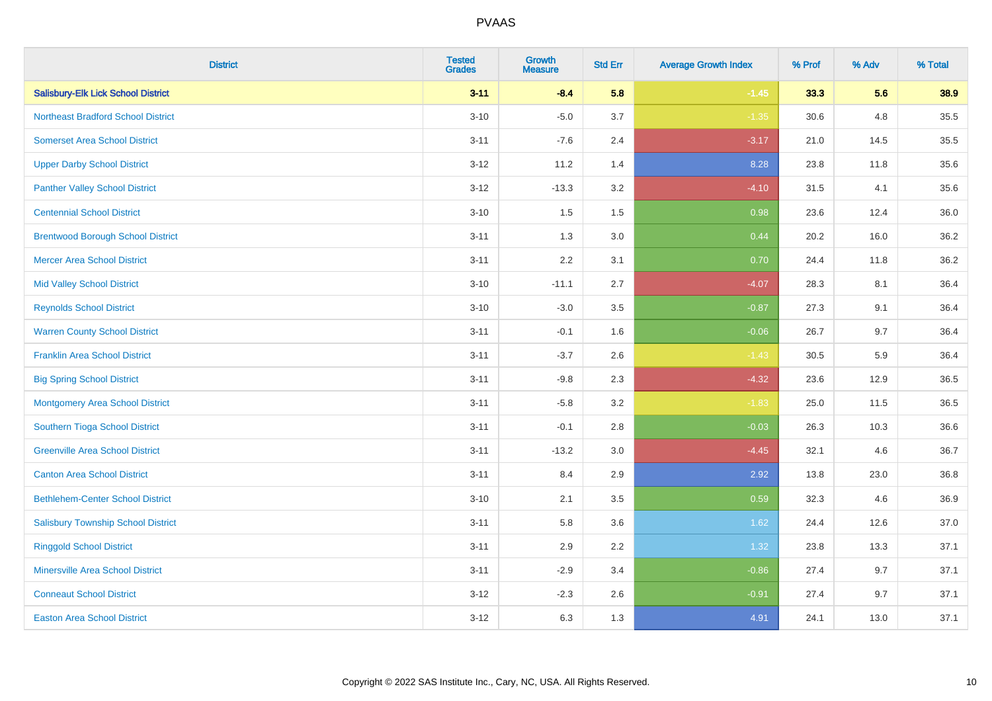| <b>District</b>                           | <b>Tested</b><br><b>Grades</b> | <b>Growth</b><br><b>Measure</b> | <b>Std Err</b> | <b>Average Growth Index</b> | % Prof | % Adv | % Total |
|-------------------------------------------|--------------------------------|---------------------------------|----------------|-----------------------------|--------|-------|---------|
| <b>Salisbury-Elk Lick School District</b> | $3 - 11$                       | $-8.4$                          | 5.8            | $-1.45$                     | 33.3   | 5.6   | 38.9    |
| <b>Northeast Bradford School District</b> | $3 - 10$                       | $-5.0$                          | 3.7            | $-1.35$                     | 30.6   | 4.8   | 35.5    |
| <b>Somerset Area School District</b>      | $3 - 11$                       | $-7.6$                          | 2.4            | $-3.17$                     | 21.0   | 14.5  | 35.5    |
| <b>Upper Darby School District</b>        | $3 - 12$                       | 11.2                            | 1.4            | 8.28                        | 23.8   | 11.8  | 35.6    |
| <b>Panther Valley School District</b>     | $3-12$                         | $-13.3$                         | 3.2            | $-4.10$                     | 31.5   | 4.1   | 35.6    |
| <b>Centennial School District</b>         | $3 - 10$                       | 1.5                             | 1.5            | 0.98                        | 23.6   | 12.4  | 36.0    |
| <b>Brentwood Borough School District</b>  | $3 - 11$                       | 1.3                             | 3.0            | 0.44                        | 20.2   | 16.0  | 36.2    |
| <b>Mercer Area School District</b>        | $3 - 11$                       | 2.2                             | 3.1            | 0.70                        | 24.4   | 11.8  | 36.2    |
| <b>Mid Valley School District</b>         | $3 - 10$                       | $-11.1$                         | 2.7            | $-4.07$                     | 28.3   | 8.1   | 36.4    |
| <b>Reynolds School District</b>           | $3 - 10$                       | $-3.0$                          | 3.5            | $-0.87$                     | 27.3   | 9.1   | 36.4    |
| <b>Warren County School District</b>      | $3 - 11$                       | $-0.1$                          | 1.6            | $-0.06$                     | 26.7   | 9.7   | 36.4    |
| <b>Franklin Area School District</b>      | $3 - 11$                       | $-3.7$                          | 2.6            | $-1.43$                     | 30.5   | 5.9   | 36.4    |
| <b>Big Spring School District</b>         | $3 - 11$                       | $-9.8$                          | 2.3            | $-4.32$                     | 23.6   | 12.9  | 36.5    |
| <b>Montgomery Area School District</b>    | $3 - 11$                       | $-5.8$                          | 3.2            | $-1.83$                     | 25.0   | 11.5  | 36.5    |
| Southern Tioga School District            | $3 - 11$                       | $-0.1$                          | 2.8            | $-0.03$                     | 26.3   | 10.3  | 36.6    |
| <b>Greenville Area School District</b>    | $3 - 11$                       | $-13.2$                         | 3.0            | $-4.45$                     | 32.1   | 4.6   | 36.7    |
| <b>Canton Area School District</b>        | $3 - 11$                       | 8.4                             | 2.9            | 2.92                        | 13.8   | 23.0  | 36.8    |
| <b>Bethlehem-Center School District</b>   | $3 - 10$                       | 2.1                             | 3.5            | 0.59                        | 32.3   | 4.6   | 36.9    |
| <b>Salisbury Township School District</b> | $3 - 11$                       | 5.8                             | 3.6            | 1.62                        | 24.4   | 12.6  | 37.0    |
| <b>Ringgold School District</b>           | $3 - 11$                       | 2.9                             | 2.2            | 1.32                        | 23.8   | 13.3  | 37.1    |
| <b>Minersville Area School District</b>   | $3 - 11$                       | $-2.9$                          | 3.4            | $-0.86$                     | 27.4   | 9.7   | 37.1    |
| <b>Conneaut School District</b>           | $3 - 12$                       | $-2.3$                          | 2.6            | $-0.91$                     | 27.4   | 9.7   | 37.1    |
| <b>Easton Area School District</b>        | $3 - 12$                       | 6.3                             | 1.3            | 4.91                        | 24.1   | 13.0  | 37.1    |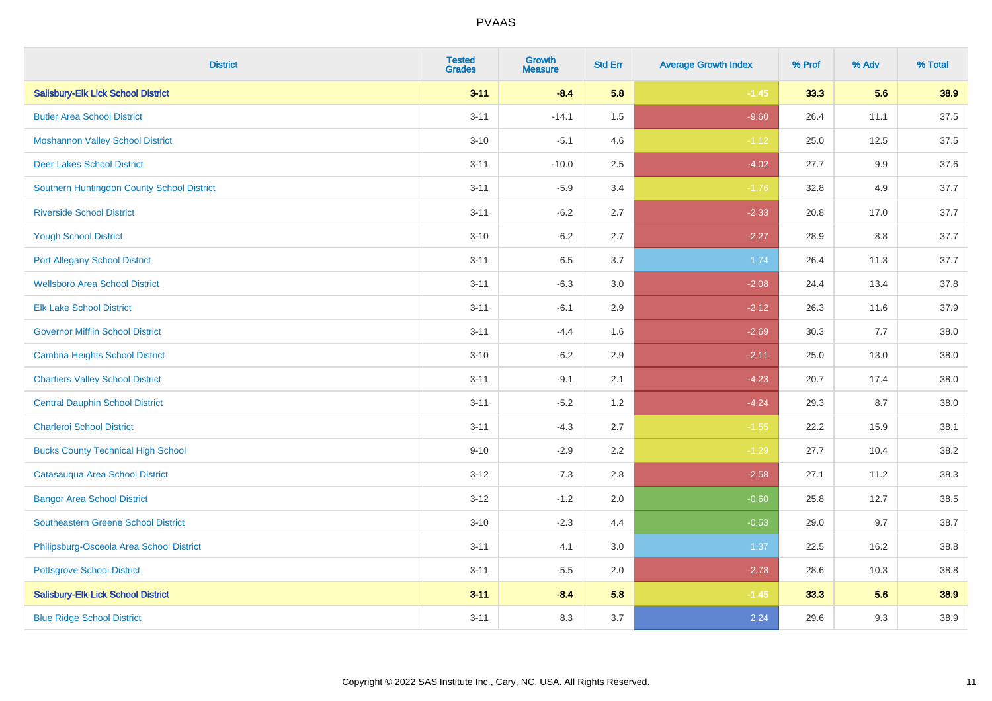| <b>District</b>                            | <b>Tested</b><br><b>Grades</b> | <b>Growth</b><br><b>Measure</b> | <b>Std Err</b> | <b>Average Growth Index</b> | % Prof | % Adv   | % Total |
|--------------------------------------------|--------------------------------|---------------------------------|----------------|-----------------------------|--------|---------|---------|
| <b>Salisbury-Elk Lick School District</b>  | $3 - 11$                       | $-8.4$                          | 5.8            | $-1.45$                     | 33.3   | 5.6     | 38.9    |
| <b>Butler Area School District</b>         | $3 - 11$                       | $-14.1$                         | $1.5\,$        | $-9.60$                     | 26.4   | 11.1    | 37.5    |
| <b>Moshannon Valley School District</b>    | $3 - 10$                       | $-5.1$                          | 4.6            | $-1.12$                     | 25.0   | 12.5    | 37.5    |
| <b>Deer Lakes School District</b>          | $3 - 11$                       | $-10.0$                         | 2.5            | $-4.02$                     | 27.7   | $9.9\,$ | 37.6    |
| Southern Huntingdon County School District | $3 - 11$                       | $-5.9$                          | 3.4            | $-1.76$                     | 32.8   | 4.9     | 37.7    |
| <b>Riverside School District</b>           | $3 - 11$                       | $-6.2$                          | 2.7            | $-2.33$                     | 20.8   | 17.0    | 37.7    |
| <b>Yough School District</b>               | $3 - 10$                       | $-6.2$                          | 2.7            | $-2.27$                     | 28.9   | 8.8     | 37.7    |
| <b>Port Allegany School District</b>       | $3 - 11$                       | 6.5                             | 3.7            | 1.74                        | 26.4   | 11.3    | 37.7    |
| <b>Wellsboro Area School District</b>      | $3 - 11$                       | $-6.3$                          | 3.0            | $-2.08$                     | 24.4   | 13.4    | 37.8    |
| <b>Elk Lake School District</b>            | $3 - 11$                       | $-6.1$                          | 2.9            | $-2.12$                     | 26.3   | 11.6    | 37.9    |
| <b>Governor Mifflin School District</b>    | $3 - 11$                       | $-4.4$                          | 1.6            | $-2.69$                     | 30.3   | 7.7     | 38.0    |
| <b>Cambria Heights School District</b>     | $3 - 10$                       | $-6.2$                          | 2.9            | $-2.11$                     | 25.0   | 13.0    | 38.0    |
| <b>Chartiers Valley School District</b>    | $3 - 11$                       | $-9.1$                          | 2.1            | $-4.23$                     | 20.7   | 17.4    | 38.0    |
| <b>Central Dauphin School District</b>     | $3 - 11$                       | $-5.2$                          | 1.2            | $-4.24$                     | 29.3   | 8.7     | 38.0    |
| <b>Charleroi School District</b>           | $3 - 11$                       | $-4.3$                          | 2.7            | $-1.55$                     | 22.2   | 15.9    | 38.1    |
| <b>Bucks County Technical High School</b>  | $9 - 10$                       | $-2.9$                          | 2.2            | $-1.29$                     | 27.7   | 10.4    | 38.2    |
| Catasauqua Area School District            | $3 - 12$                       | $-7.3$                          | 2.8            | $-2.58$                     | 27.1   | 11.2    | 38.3    |
| <b>Bangor Area School District</b>         | $3 - 12$                       | $-1.2$                          | 2.0            | $-0.60$                     | 25.8   | 12.7    | 38.5    |
| <b>Southeastern Greene School District</b> | $3 - 10$                       | $-2.3$                          | 4.4            | $-0.53$                     | 29.0   | 9.7     | 38.7    |
| Philipsburg-Osceola Area School District   | $3 - 11$                       | 4.1                             | 3.0            | 1.37                        | 22.5   | 16.2    | 38.8    |
| <b>Pottsgrove School District</b>          | $3 - 11$                       | $-5.5$                          | 2.0            | $-2.78$                     | 28.6   | 10.3    | 38.8    |
| <b>Salisbury-Elk Lick School District</b>  | $3 - 11$                       | $-8.4$                          | 5.8            | $-1.45$                     | 33.3   | 5.6     | 38.9    |
| <b>Blue Ridge School District</b>          | $3 - 11$                       | 8.3                             | 3.7            | 2.24                        | 29.6   | 9.3     | 38.9    |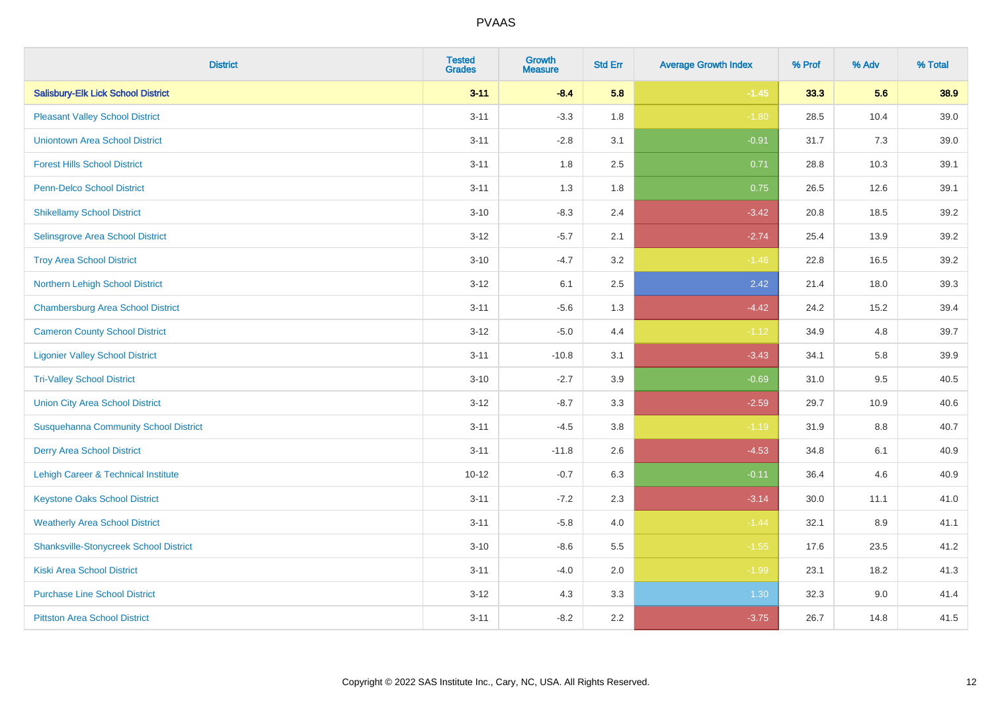| <b>District</b>                               | <b>Tested</b><br><b>Grades</b> | <b>Growth</b><br><b>Measure</b> | <b>Std Err</b> | <b>Average Growth Index</b> | % Prof | % Adv | % Total |
|-----------------------------------------------|--------------------------------|---------------------------------|----------------|-----------------------------|--------|-------|---------|
| <b>Salisbury-Elk Lick School District</b>     | $3 - 11$                       | $-8.4$                          | 5.8            | $-1.45$                     | 33.3   | 5.6   | 38.9    |
| <b>Pleasant Valley School District</b>        | $3 - 11$                       | $-3.3$                          | 1.8            | $-1.80$                     | 28.5   | 10.4  | 39.0    |
| <b>Uniontown Area School District</b>         | $3 - 11$                       | $-2.8$                          | 3.1            | $-0.91$                     | 31.7   | 7.3   | 39.0    |
| <b>Forest Hills School District</b>           | $3 - 11$                       | 1.8                             | 2.5            | 0.71                        | 28.8   | 10.3  | 39.1    |
| Penn-Delco School District                    | $3 - 11$                       | 1.3                             | 1.8            | 0.75                        | 26.5   | 12.6  | 39.1    |
| <b>Shikellamy School District</b>             | $3 - 10$                       | $-8.3$                          | 2.4            | $-3.42$                     | 20.8   | 18.5  | 39.2    |
| Selinsgrove Area School District              | $3 - 12$                       | $-5.7$                          | 2.1            | $-2.74$                     | 25.4   | 13.9  | 39.2    |
| <b>Troy Area School District</b>              | $3 - 10$                       | $-4.7$                          | 3.2            | $-1.46$                     | 22.8   | 16.5  | 39.2    |
| Northern Lehigh School District               | $3 - 12$                       | 6.1                             | 2.5            | 2.42                        | 21.4   | 18.0  | 39.3    |
| <b>Chambersburg Area School District</b>      | $3 - 11$                       | $-5.6$                          | 1.3            | $-4.42$                     | 24.2   | 15.2  | 39.4    |
| <b>Cameron County School District</b>         | $3-12$                         | $-5.0$                          | 4.4            | $-1.12$                     | 34.9   | 4.8   | 39.7    |
| <b>Ligonier Valley School District</b>        | $3 - 11$                       | $-10.8$                         | 3.1            | $-3.43$                     | 34.1   | 5.8   | 39.9    |
| <b>Tri-Valley School District</b>             | $3 - 10$                       | $-2.7$                          | 3.9            | $-0.69$                     | 31.0   | 9.5   | 40.5    |
| <b>Union City Area School District</b>        | $3 - 12$                       | $-8.7$                          | 3.3            | $-2.59$                     | 29.7   | 10.9  | 40.6    |
| <b>Susquehanna Community School District</b>  | $3 - 11$                       | $-4.5$                          | 3.8            | $-1.19$                     | 31.9   | 8.8   | 40.7    |
| <b>Derry Area School District</b>             | $3 - 11$                       | $-11.8$                         | 2.6            | $-4.53$                     | 34.8   | 6.1   | 40.9    |
| Lehigh Career & Technical Institute           | $10 - 12$                      | $-0.7$                          | 6.3            | $-0.11$                     | 36.4   | 4.6   | 40.9    |
| <b>Keystone Oaks School District</b>          | $3 - 11$                       | $-7.2$                          | 2.3            | $-3.14$                     | 30.0   | 11.1  | 41.0    |
| <b>Weatherly Area School District</b>         | $3 - 11$                       | $-5.8$                          | 4.0            | $-1.44$                     | 32.1   | 8.9   | 41.1    |
| <b>Shanksville-Stonycreek School District</b> | $3 - 10$                       | $-8.6$                          | 5.5            | $-1.55$                     | 17.6   | 23.5  | 41.2    |
| <b>Kiski Area School District</b>             | $3 - 11$                       | $-4.0$                          | 2.0            | $-1.99$                     | 23.1   | 18.2  | 41.3    |
| <b>Purchase Line School District</b>          | $3 - 12$                       | 4.3                             | 3.3            | 1.30                        | 32.3   | 9.0   | 41.4    |
| <b>Pittston Area School District</b>          | $3 - 11$                       | $-8.2$                          | 2.2            | $-3.75$                     | 26.7   | 14.8  | 41.5    |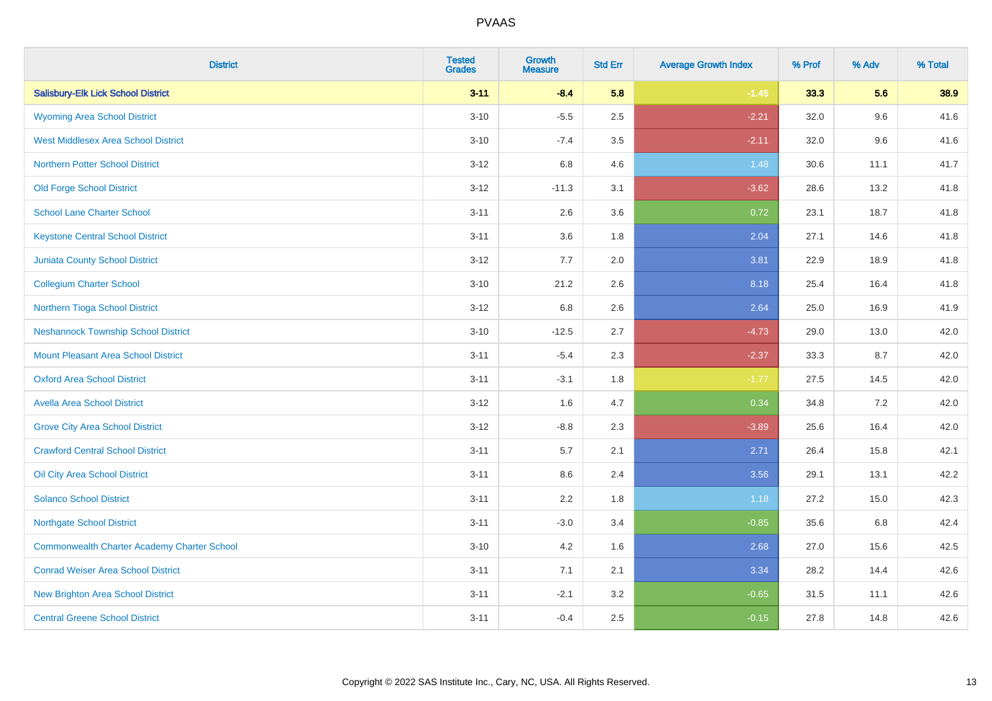| <b>District</b>                                    | <b>Tested</b><br><b>Grades</b> | <b>Growth</b><br><b>Measure</b> | <b>Std Err</b> | <b>Average Growth Index</b> | % Prof | % Adv | % Total |
|----------------------------------------------------|--------------------------------|---------------------------------|----------------|-----------------------------|--------|-------|---------|
| <b>Salisbury-Elk Lick School District</b>          | $3 - 11$                       | $-8.4$                          | 5.8            | $-1.45$                     | 33.3   | 5.6   | 38.9    |
| <b>Wyoming Area School District</b>                | $3 - 10$                       | $-5.5$                          | 2.5            | $-2.21$                     | 32.0   | 9.6   | 41.6    |
| <b>West Middlesex Area School District</b>         | $3 - 10$                       | $-7.4$                          | 3.5            | $-2.11$                     | 32.0   | 9.6   | 41.6    |
| <b>Northern Potter School District</b>             | $3 - 12$                       | 6.8                             | 4.6            | 1.48                        | 30.6   | 11.1  | 41.7    |
| <b>Old Forge School District</b>                   | $3 - 12$                       | $-11.3$                         | 3.1            | $-3.62$                     | 28.6   | 13.2  | 41.8    |
| <b>School Lane Charter School</b>                  | $3 - 11$                       | 2.6                             | 3.6            | 0.72                        | 23.1   | 18.7  | 41.8    |
| <b>Keystone Central School District</b>            | $3 - 11$                       | 3.6                             | 1.8            | 2.04                        | 27.1   | 14.6  | 41.8    |
| <b>Juniata County School District</b>              | $3 - 12$                       | 7.7                             | 2.0            | 3.81                        | 22.9   | 18.9  | 41.8    |
| <b>Collegium Charter School</b>                    | $3 - 10$                       | 21.2                            | 2.6            | 8.18                        | 25.4   | 16.4  | 41.8    |
| Northern Tioga School District                     | $3-12$                         | 6.8                             | 2.6            | 2.64                        | 25.0   | 16.9  | 41.9    |
| <b>Neshannock Township School District</b>         | $3 - 10$                       | $-12.5$                         | 2.7            | $-4.73$                     | 29.0   | 13.0  | 42.0    |
| <b>Mount Pleasant Area School District</b>         | $3 - 11$                       | $-5.4$                          | 2.3            | $-2.37$                     | 33.3   | 8.7   | 42.0    |
| <b>Oxford Area School District</b>                 | $3 - 11$                       | $-3.1$                          | 1.8            | $-1.77$                     | 27.5   | 14.5  | 42.0    |
| <b>Avella Area School District</b>                 | $3 - 12$                       | 1.6                             | 4.7            | 0.34                        | 34.8   | 7.2   | 42.0    |
| <b>Grove City Area School District</b>             | $3 - 12$                       | $-8.8$                          | 2.3            | $-3.89$                     | 25.6   | 16.4  | 42.0    |
| <b>Crawford Central School District</b>            | $3 - 11$                       | 5.7                             | 2.1            | 2.71                        | 26.4   | 15.8  | 42.1    |
| Oil City Area School District                      | $3 - 11$                       | 8.6                             | 2.4            | 3.56                        | 29.1   | 13.1  | 42.2    |
| <b>Solanco School District</b>                     | $3 - 11$                       | 2.2                             | 1.8            | 1.18                        | 27.2   | 15.0  | 42.3    |
| <b>Northgate School District</b>                   | $3 - 11$                       | $-3.0$                          | 3.4            | $-0.85$                     | 35.6   | 6.8   | 42.4    |
| <b>Commonwealth Charter Academy Charter School</b> | $3 - 10$                       | 4.2                             | 1.6            | 2.68                        | 27.0   | 15.6  | 42.5    |
| <b>Conrad Weiser Area School District</b>          | $3 - 11$                       | 7.1                             | 2.1            | 3.34                        | 28.2   | 14.4  | 42.6    |
| <b>New Brighton Area School District</b>           | $3 - 11$                       | $-2.1$                          | 3.2            | $-0.65$                     | 31.5   | 11.1  | 42.6    |
| <b>Central Greene School District</b>              | $3 - 11$                       | $-0.4$                          | 2.5            | $-0.15$                     | 27.8   | 14.8  | 42.6    |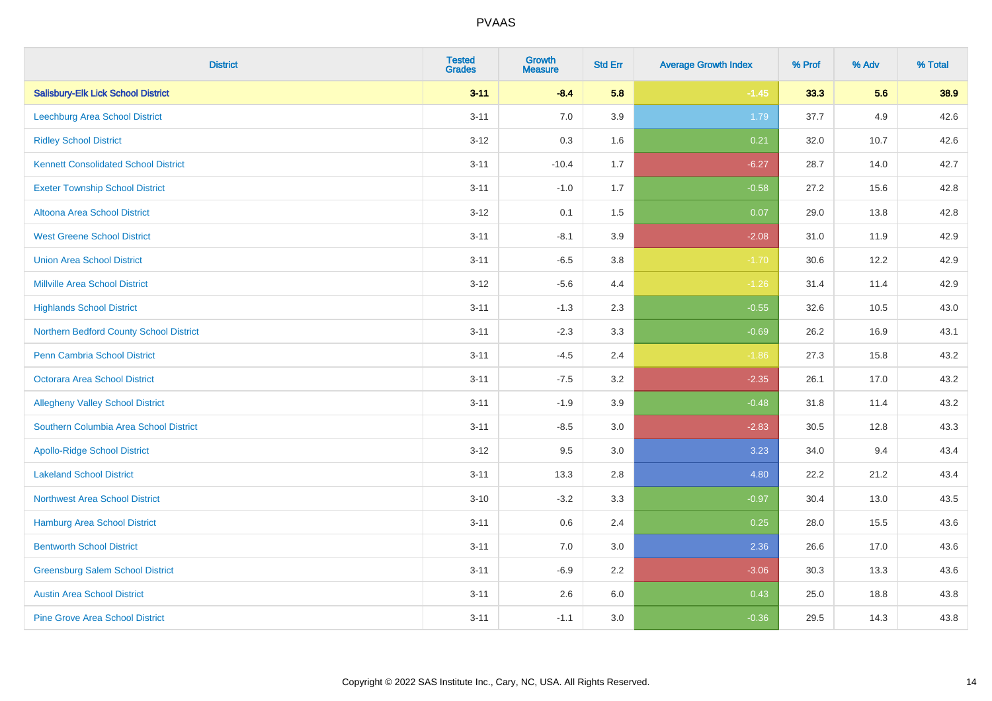| <b>District</b>                             | <b>Tested</b><br><b>Grades</b> | <b>Growth</b><br><b>Measure</b> | <b>Std Err</b> | <b>Average Growth Index</b> | % Prof | % Adv | % Total |
|---------------------------------------------|--------------------------------|---------------------------------|----------------|-----------------------------|--------|-------|---------|
| <b>Salisbury-Elk Lick School District</b>   | $3 - 11$                       | $-8.4$                          | 5.8            | $-1.45$                     | 33.3   | 5.6   | 38.9    |
| <b>Leechburg Area School District</b>       | $3 - 11$                       | $7.0\,$                         | 3.9            | 1.79                        | 37.7   | 4.9   | 42.6    |
| <b>Ridley School District</b>               | $3 - 12$                       | 0.3                             | 1.6            | 0.21                        | 32.0   | 10.7  | 42.6    |
| <b>Kennett Consolidated School District</b> | $3 - 11$                       | $-10.4$                         | 1.7            | $-6.27$                     | 28.7   | 14.0  | 42.7    |
| <b>Exeter Township School District</b>      | $3 - 11$                       | $-1.0$                          | 1.7            | $-0.58$                     | 27.2   | 15.6  | 42.8    |
| Altoona Area School District                | $3 - 12$                       | 0.1                             | 1.5            | 0.07                        | 29.0   | 13.8  | 42.8    |
| <b>West Greene School District</b>          | $3 - 11$                       | $-8.1$                          | 3.9            | $-2.08$                     | 31.0   | 11.9  | 42.9    |
| <b>Union Area School District</b>           | $3 - 11$                       | $-6.5$                          | 3.8            | $-1.70$                     | 30.6   | 12.2  | 42.9    |
| <b>Millville Area School District</b>       | $3 - 12$                       | $-5.6$                          | 4.4            | $-1.26$                     | 31.4   | 11.4  | 42.9    |
| <b>Highlands School District</b>            | $3 - 11$                       | $-1.3$                          | 2.3            | $-0.55$                     | 32.6   | 10.5  | 43.0    |
| Northern Bedford County School District     | $3 - 11$                       | $-2.3$                          | 3.3            | $-0.69$                     | 26.2   | 16.9  | 43.1    |
| <b>Penn Cambria School District</b>         | $3 - 11$                       | $-4.5$                          | 2.4            | $-1.86$                     | 27.3   | 15.8  | 43.2    |
| Octorara Area School District               | $3 - 11$                       | $-7.5$                          | 3.2            | $-2.35$                     | 26.1   | 17.0  | 43.2    |
| <b>Allegheny Valley School District</b>     | $3 - 11$                       | $-1.9$                          | 3.9            | $-0.48$                     | 31.8   | 11.4  | 43.2    |
| Southern Columbia Area School District      | $3 - 11$                       | $-8.5$                          | 3.0            | $-2.83$                     | 30.5   | 12.8  | 43.3    |
| <b>Apollo-Ridge School District</b>         | $3 - 12$                       | 9.5                             | 3.0            | 3.23                        | 34.0   | 9.4   | 43.4    |
| <b>Lakeland School District</b>             | $3 - 11$                       | 13.3                            | 2.8            | 4.80                        | 22.2   | 21.2  | 43.4    |
| <b>Northwest Area School District</b>       | $3 - 10$                       | $-3.2$                          | 3.3            | $-0.97$                     | 30.4   | 13.0  | 43.5    |
| <b>Hamburg Area School District</b>         | $3 - 11$                       | $0.6\,$                         | 2.4            | 0.25                        | 28.0   | 15.5  | 43.6    |
| <b>Bentworth School District</b>            | $3 - 11$                       | 7.0                             | 3.0            | 2.36                        | 26.6   | 17.0  | 43.6    |
| <b>Greensburg Salem School District</b>     | $3 - 11$                       | $-6.9$                          | 2.2            | $-3.06$                     | 30.3   | 13.3  | 43.6    |
| <b>Austin Area School District</b>          | $3 - 11$                       | 2.6                             | 6.0            | 0.43                        | 25.0   | 18.8  | 43.8    |
| <b>Pine Grove Area School District</b>      | $3 - 11$                       | $-1.1$                          | 3.0            | $-0.36$                     | 29.5   | 14.3  | 43.8    |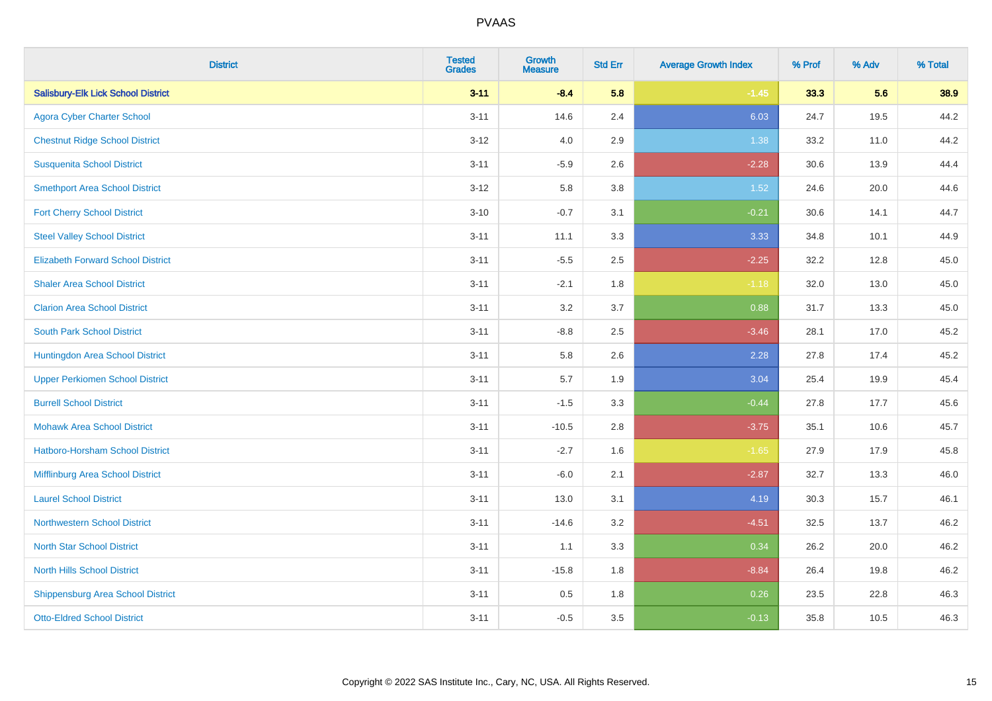| <b>District</b>                           | <b>Tested</b><br><b>Grades</b> | <b>Growth</b><br><b>Measure</b> | <b>Std Err</b> | <b>Average Growth Index</b> | % Prof | % Adv | % Total |
|-------------------------------------------|--------------------------------|---------------------------------|----------------|-----------------------------|--------|-------|---------|
| <b>Salisbury-Elk Lick School District</b> | $3 - 11$                       | $-8.4$                          | 5.8            | $-1.45$                     | 33.3   | 5.6   | 38.9    |
| <b>Agora Cyber Charter School</b>         | $3 - 11$                       | 14.6                            | 2.4            | 6.03                        | 24.7   | 19.5  | 44.2    |
| <b>Chestnut Ridge School District</b>     | $3 - 12$                       | 4.0                             | 2.9            | 1.38                        | 33.2   | 11.0  | 44.2    |
| <b>Susquenita School District</b>         | $3 - 11$                       | $-5.9$                          | 2.6            | $-2.28$                     | 30.6   | 13.9  | 44.4    |
| <b>Smethport Area School District</b>     | $3 - 12$                       | 5.8                             | 3.8            | 1.52                        | 24.6   | 20.0  | 44.6    |
| <b>Fort Cherry School District</b>        | $3 - 10$                       | $-0.7$                          | 3.1            | $-0.21$                     | 30.6   | 14.1  | 44.7    |
| <b>Steel Valley School District</b>       | $3 - 11$                       | 11.1                            | 3.3            | 3.33                        | 34.8   | 10.1  | 44.9    |
| <b>Elizabeth Forward School District</b>  | $3 - 11$                       | $-5.5$                          | 2.5            | $-2.25$                     | 32.2   | 12.8  | 45.0    |
| <b>Shaler Area School District</b>        | $3 - 11$                       | $-2.1$                          | 1.8            | $-1.18$                     | 32.0   | 13.0  | 45.0    |
| <b>Clarion Area School District</b>       | $3 - 11$                       | 3.2                             | 3.7            | 0.88                        | 31.7   | 13.3  | 45.0    |
| <b>South Park School District</b>         | $3 - 11$                       | $-8.8$                          | 2.5            | $-3.46$                     | 28.1   | 17.0  | 45.2    |
| Huntingdon Area School District           | $3 - 11$                       | 5.8                             | 2.6            | 2.28                        | 27.8   | 17.4  | 45.2    |
| <b>Upper Perkiomen School District</b>    | $3 - 11$                       | 5.7                             | 1.9            | 3.04                        | 25.4   | 19.9  | 45.4    |
| <b>Burrell School District</b>            | $3 - 11$                       | $-1.5$                          | 3.3            | $-0.44$                     | 27.8   | 17.7  | 45.6    |
| <b>Mohawk Area School District</b>        | $3 - 11$                       | $-10.5$                         | 2.8            | $-3.75$                     | 35.1   | 10.6  | 45.7    |
| <b>Hatboro-Horsham School District</b>    | $3 - 11$                       | $-2.7$                          | 1.6            | $-1.65$                     | 27.9   | 17.9  | 45.8    |
| Mifflinburg Area School District          | $3 - 11$                       | $-6.0$                          | 2.1            | $-2.87$                     | 32.7   | 13.3  | 46.0    |
| <b>Laurel School District</b>             | $3 - 11$                       | 13.0                            | 3.1            | 4.19                        | 30.3   | 15.7  | 46.1    |
| <b>Northwestern School District</b>       | $3 - 11$                       | $-14.6$                         | 3.2            | $-4.51$                     | 32.5   | 13.7  | 46.2    |
| <b>North Star School District</b>         | $3 - 11$                       | 1.1                             | 3.3            | 0.34                        | 26.2   | 20.0  | 46.2    |
| <b>North Hills School District</b>        | $3 - 11$                       | $-15.8$                         | 1.8            | $-8.84$                     | 26.4   | 19.8  | 46.2    |
| <b>Shippensburg Area School District</b>  | $3 - 11$                       | $0.5\,$                         | 1.8            | 0.26                        | 23.5   | 22.8  | 46.3    |
| <b>Otto-Eldred School District</b>        | $3 - 11$                       | $-0.5$                          | 3.5            | $-0.13$                     | 35.8   | 10.5  | 46.3    |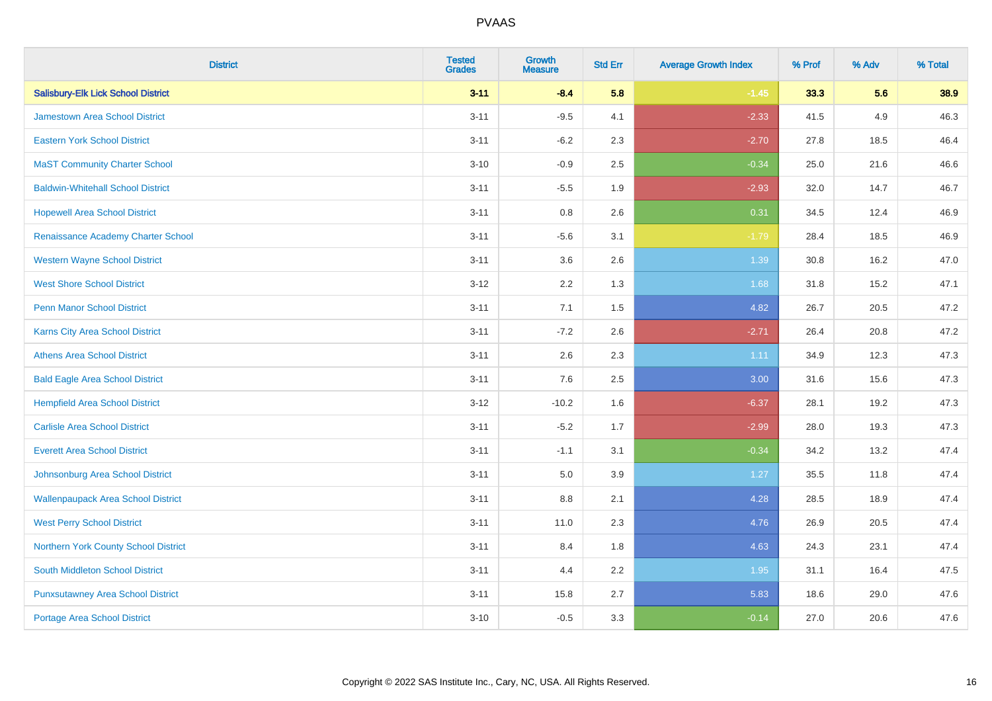| <b>District</b>                           | <b>Tested</b><br><b>Grades</b> | <b>Growth</b><br><b>Measure</b> | <b>Std Err</b> | <b>Average Growth Index</b> | % Prof | % Adv | % Total |
|-------------------------------------------|--------------------------------|---------------------------------|----------------|-----------------------------|--------|-------|---------|
| <b>Salisbury-Elk Lick School District</b> | $3 - 11$                       | $-8.4$                          | 5.8            | $-1.45$                     | 33.3   | 5.6   | 38.9    |
| <b>Jamestown Area School District</b>     | $3 - 11$                       | $-9.5$                          | 4.1            | $-2.33$                     | 41.5   | 4.9   | 46.3    |
| <b>Eastern York School District</b>       | $3 - 11$                       | $-6.2$                          | 2.3            | $-2.70$                     | 27.8   | 18.5  | 46.4    |
| <b>MaST Community Charter School</b>      | $3 - 10$                       | $-0.9$                          | 2.5            | $-0.34$                     | 25.0   | 21.6  | 46.6    |
| <b>Baldwin-Whitehall School District</b>  | $3 - 11$                       | $-5.5$                          | 1.9            | $-2.93$                     | 32.0   | 14.7  | 46.7    |
| <b>Hopewell Area School District</b>      | $3 - 11$                       | 0.8                             | 2.6            | 0.31                        | 34.5   | 12.4  | 46.9    |
| Renaissance Academy Charter School        | $3 - 11$                       | $-5.6$                          | 3.1            | $-1.79$                     | 28.4   | 18.5  | 46.9    |
| <b>Western Wayne School District</b>      | $3 - 11$                       | 3.6                             | 2.6            | 1.39                        | 30.8   | 16.2  | 47.0    |
| <b>West Shore School District</b>         | $3 - 12$                       | 2.2                             | 1.3            | 1.68                        | 31.8   | 15.2  | 47.1    |
| <b>Penn Manor School District</b>         | $3 - 11$                       | 7.1                             | 1.5            | 4.82                        | 26.7   | 20.5  | 47.2    |
| <b>Karns City Area School District</b>    | $3 - 11$                       | $-7.2$                          | 2.6            | $-2.71$                     | 26.4   | 20.8  | 47.2    |
| <b>Athens Area School District</b>        | $3 - 11$                       | 2.6                             | 2.3            | 1.11                        | 34.9   | 12.3  | 47.3    |
| <b>Bald Eagle Area School District</b>    | $3 - 11$                       | 7.6                             | 2.5            | 3.00                        | 31.6   | 15.6  | 47.3    |
| <b>Hempfield Area School District</b>     | $3 - 12$                       | $-10.2$                         | 1.6            | $-6.37$                     | 28.1   | 19.2  | 47.3    |
| <b>Carlisle Area School District</b>      | $3 - 11$                       | $-5.2$                          | 1.7            | $-2.99$                     | 28.0   | 19.3  | 47.3    |
| <b>Everett Area School District</b>       | $3 - 11$                       | $-1.1$                          | 3.1            | $-0.34$                     | 34.2   | 13.2  | 47.4    |
| Johnsonburg Area School District          | $3 - 11$                       | 5.0                             | 3.9            | 1.27                        | 35.5   | 11.8  | 47.4    |
| <b>Wallenpaupack Area School District</b> | $3 - 11$                       | 8.8                             | 2.1            | 4.28                        | 28.5   | 18.9  | 47.4    |
| <b>West Perry School District</b>         | $3 - 11$                       | 11.0                            | 2.3            | 4.76                        | 26.9   | 20.5  | 47.4    |
| Northern York County School District      | $3 - 11$                       | 8.4                             | 1.8            | 4.63                        | 24.3   | 23.1  | 47.4    |
| <b>South Middleton School District</b>    | $3 - 11$                       | 4.4                             | 2.2            | 1.95                        | 31.1   | 16.4  | 47.5    |
| <b>Punxsutawney Area School District</b>  | $3 - 11$                       | 15.8                            | 2.7            | 5.83                        | 18.6   | 29.0  | 47.6    |
| <b>Portage Area School District</b>       | $3 - 10$                       | $-0.5$                          | 3.3            | $-0.14$                     | 27.0   | 20.6  | 47.6    |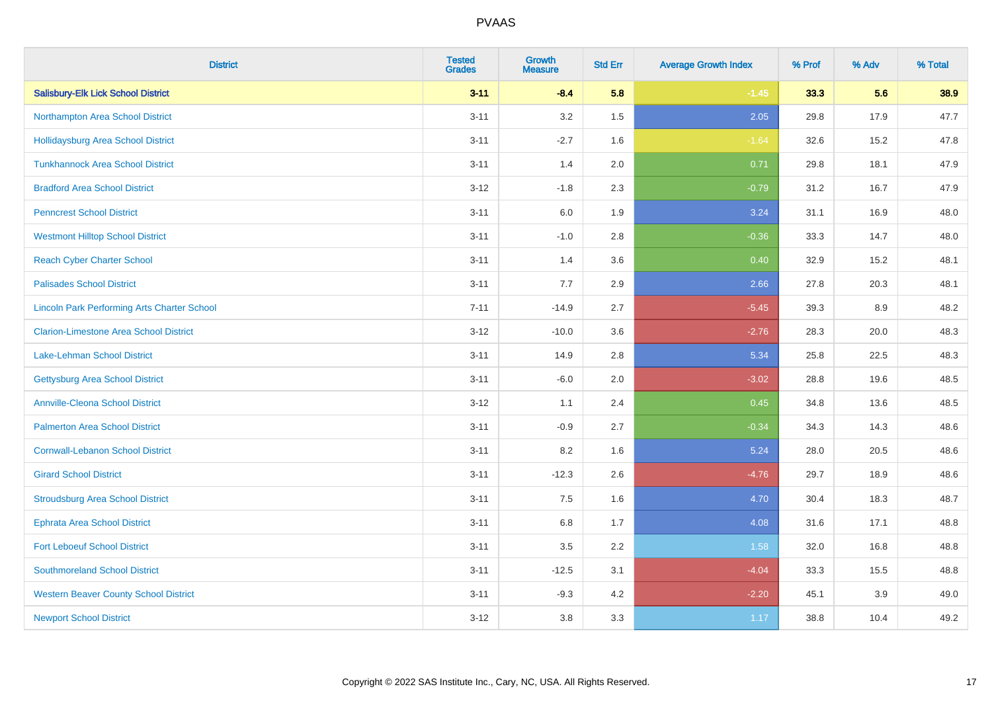| <b>District</b>                                    | <b>Tested</b><br><b>Grades</b> | <b>Growth</b><br><b>Measure</b> | <b>Std Err</b> | <b>Average Growth Index</b> | % Prof | % Adv | % Total |
|----------------------------------------------------|--------------------------------|---------------------------------|----------------|-----------------------------|--------|-------|---------|
| <b>Salisbury-Elk Lick School District</b>          | $3 - 11$                       | $-8.4$                          | 5.8            | $-1.45$                     | 33.3   | 5.6   | 38.9    |
| Northampton Area School District                   | $3 - 11$                       | 3.2                             | 1.5            | 2.05                        | 29.8   | 17.9  | 47.7    |
| <b>Hollidaysburg Area School District</b>          | $3 - 11$                       | $-2.7$                          | 1.6            | $-1.64$                     | 32.6   | 15.2  | 47.8    |
| <b>Tunkhannock Area School District</b>            | $3 - 11$                       | 1.4                             | 2.0            | 0.71                        | 29.8   | 18.1  | 47.9    |
| <b>Bradford Area School District</b>               | $3 - 12$                       | $-1.8$                          | 2.3            | $-0.79$                     | 31.2   | 16.7  | 47.9    |
| <b>Penncrest School District</b>                   | $3 - 11$                       | $6.0\,$                         | 1.9            | 3.24                        | 31.1   | 16.9  | 48.0    |
| <b>Westmont Hilltop School District</b>            | $3 - 11$                       | $-1.0$                          | 2.8            | $-0.36$                     | 33.3   | 14.7  | 48.0    |
| <b>Reach Cyber Charter School</b>                  | $3 - 11$                       | 1.4                             | 3.6            | 0.40                        | 32.9   | 15.2  | 48.1    |
| <b>Palisades School District</b>                   | $3 - 11$                       | 7.7                             | 2.9            | 2.66                        | 27.8   | 20.3  | 48.1    |
| <b>Lincoln Park Performing Arts Charter School</b> | $7 - 11$                       | $-14.9$                         | 2.7            | $-5.45$                     | 39.3   | 8.9   | 48.2    |
| <b>Clarion-Limestone Area School District</b>      | $3-12$                         | $-10.0$                         | 3.6            | $-2.76$                     | 28.3   | 20.0  | 48.3    |
| <b>Lake-Lehman School District</b>                 | $3 - 11$                       | 14.9                            | 2.8            | 5.34                        | 25.8   | 22.5  | 48.3    |
| <b>Gettysburg Area School District</b>             | $3 - 11$                       | $-6.0$                          | 2.0            | $-3.02$                     | 28.8   | 19.6  | 48.5    |
| <b>Annville-Cleona School District</b>             | $3-12$                         | 1.1                             | 2.4            | 0.45                        | 34.8   | 13.6  | 48.5    |
| <b>Palmerton Area School District</b>              | $3 - 11$                       | $-0.9$                          | 2.7            | $-0.34$                     | 34.3   | 14.3  | 48.6    |
| <b>Cornwall-Lebanon School District</b>            | $3 - 11$                       | 8.2                             | 1.6            | 5.24                        | 28.0   | 20.5  | 48.6    |
| <b>Girard School District</b>                      | $3 - 11$                       | $-12.3$                         | 2.6            | $-4.76$                     | 29.7   | 18.9  | 48.6    |
| <b>Stroudsburg Area School District</b>            | $3 - 11$                       | 7.5                             | 1.6            | 4.70                        | 30.4   | 18.3  | 48.7    |
| <b>Ephrata Area School District</b>                | $3 - 11$                       | $6.8\,$                         | 1.7            | 4.08                        | 31.6   | 17.1  | 48.8    |
| <b>Fort Leboeuf School District</b>                | $3 - 11$                       | 3.5                             | 2.2            | 1.58                        | 32.0   | 16.8  | 48.8    |
| <b>Southmoreland School District</b>               | $3 - 11$                       | $-12.5$                         | 3.1            | $-4.04$                     | 33.3   | 15.5  | 48.8    |
| <b>Western Beaver County School District</b>       | $3 - 11$                       | $-9.3$                          | 4.2            | $-2.20$                     | 45.1   | 3.9   | 49.0    |
| <b>Newport School District</b>                     | $3-12$                         | 3.8                             | 3.3            | 1.17                        | 38.8   | 10.4  | 49.2    |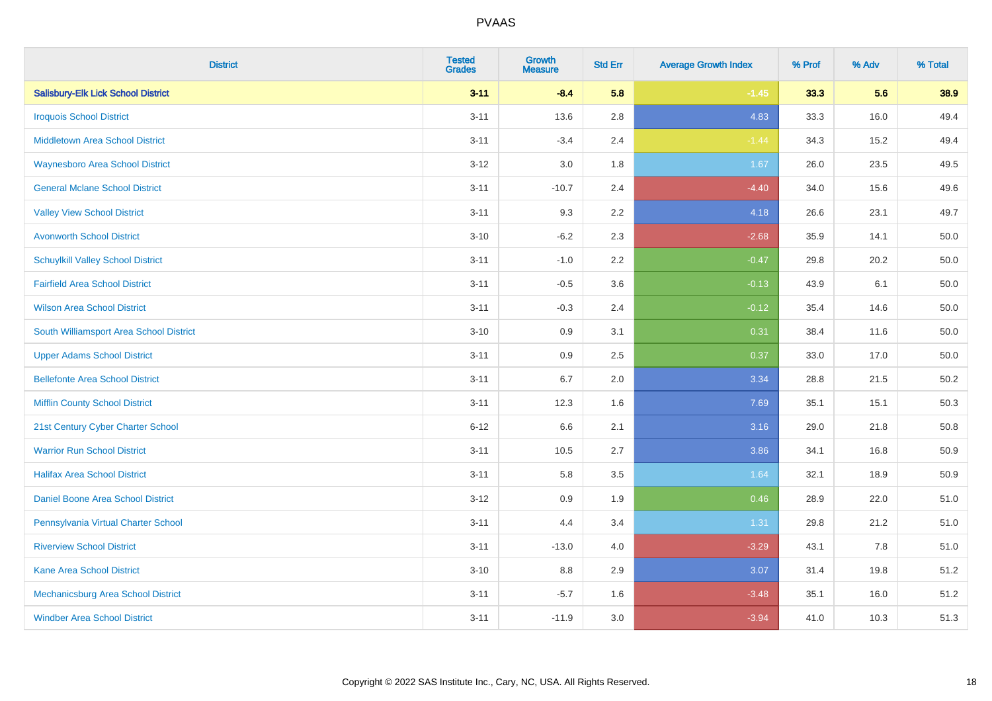| <b>District</b>                           | <b>Tested</b><br><b>Grades</b> | <b>Growth</b><br><b>Measure</b> | <b>Std Err</b> | <b>Average Growth Index</b> | % Prof | % Adv | % Total |
|-------------------------------------------|--------------------------------|---------------------------------|----------------|-----------------------------|--------|-------|---------|
| <b>Salisbury-Elk Lick School District</b> | $3 - 11$                       | $-8.4$                          | 5.8            | $-1.45$                     | 33.3   | 5.6   | 38.9    |
| <b>Iroquois School District</b>           | $3 - 11$                       | 13.6                            | $2.8\,$        | 4.83                        | 33.3   | 16.0  | 49.4    |
| <b>Middletown Area School District</b>    | $3 - 11$                       | $-3.4$                          | 2.4            | $-1.44$                     | 34.3   | 15.2  | 49.4    |
| <b>Waynesboro Area School District</b>    | $3-12$                         | $3.0\,$                         | 1.8            | 1.67                        | 26.0   | 23.5  | 49.5    |
| <b>General Mclane School District</b>     | $3 - 11$                       | $-10.7$                         | 2.4            | $-4.40$                     | 34.0   | 15.6  | 49.6    |
| <b>Valley View School District</b>        | $3 - 11$                       | 9.3                             | 2.2            | 4.18                        | 26.6   | 23.1  | 49.7    |
| <b>Avonworth School District</b>          | $3 - 10$                       | $-6.2$                          | 2.3            | $-2.68$                     | 35.9   | 14.1  | 50.0    |
| <b>Schuylkill Valley School District</b>  | $3 - 11$                       | $-1.0$                          | 2.2            | $-0.47$                     | 29.8   | 20.2  | 50.0    |
| <b>Fairfield Area School District</b>     | $3 - 11$                       | $-0.5$                          | 3.6            | $-0.13$                     | 43.9   | 6.1   | 50.0    |
| <b>Wilson Area School District</b>        | $3 - 11$                       | $-0.3$                          | 2.4            | $-0.12$                     | 35.4   | 14.6  | 50.0    |
| South Williamsport Area School District   | $3 - 10$                       | 0.9                             | 3.1            | 0.31                        | 38.4   | 11.6  | 50.0    |
| <b>Upper Adams School District</b>        | $3 - 11$                       | 0.9                             | 2.5            | 0.37                        | 33.0   | 17.0  | 50.0    |
| <b>Bellefonte Area School District</b>    | $3 - 11$                       | 6.7                             | 2.0            | 3.34                        | 28.8   | 21.5  | 50.2    |
| <b>Mifflin County School District</b>     | $3 - 11$                       | 12.3                            | 1.6            | 7.69                        | 35.1   | 15.1  | 50.3    |
| 21st Century Cyber Charter School         | $6 - 12$                       | 6.6                             | 2.1            | 3.16                        | 29.0   | 21.8  | 50.8    |
| <b>Warrior Run School District</b>        | $3 - 11$                       | 10.5                            | 2.7            | 3.86                        | 34.1   | 16.8  | 50.9    |
| <b>Halifax Area School District</b>       | $3 - 11$                       | 5.8                             | 3.5            | 1.64                        | 32.1   | 18.9  | 50.9    |
| Daniel Boone Area School District         | $3 - 12$                       | 0.9                             | 1.9            | 0.46                        | 28.9   | 22.0  | 51.0    |
| Pennsylvania Virtual Charter School       | $3 - 11$                       | 4.4                             | 3.4            | 1.31                        | 29.8   | 21.2  | 51.0    |
| <b>Riverview School District</b>          | $3 - 11$                       | $-13.0$                         | 4.0            | $-3.29$                     | 43.1   | 7.8   | 51.0    |
| <b>Kane Area School District</b>          | $3 - 10$                       | 8.8                             | 2.9            | 3.07                        | 31.4   | 19.8  | 51.2    |
| Mechanicsburg Area School District        | $3 - 11$                       | $-5.7$                          | 1.6            | $-3.48$                     | 35.1   | 16.0  | 51.2    |
| <b>Windber Area School District</b>       | $3 - 11$                       | $-11.9$                         | 3.0            | $-3.94$                     | 41.0   | 10.3  | 51.3    |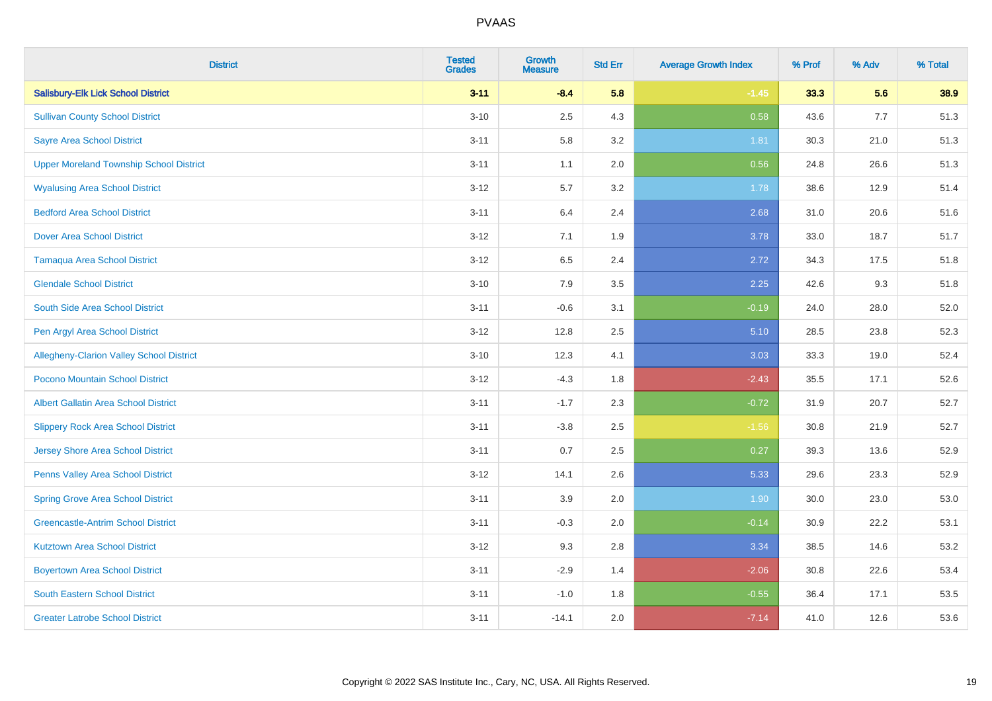| <b>District</b>                                 | <b>Tested</b><br><b>Grades</b> | <b>Growth</b><br><b>Measure</b> | <b>Std Err</b> | <b>Average Growth Index</b> | % Prof | % Adv | % Total |
|-------------------------------------------------|--------------------------------|---------------------------------|----------------|-----------------------------|--------|-------|---------|
| <b>Salisbury-Elk Lick School District</b>       | $3 - 11$                       | $-8.4$                          | 5.8            | $-1.45$                     | 33.3   | 5.6   | 38.9    |
| <b>Sullivan County School District</b>          | $3 - 10$                       | 2.5                             | 4.3            | 0.58                        | 43.6   | 7.7   | 51.3    |
| <b>Sayre Area School District</b>               | $3 - 11$                       | 5.8                             | 3.2            | 1.81                        | 30.3   | 21.0  | 51.3    |
| <b>Upper Moreland Township School District</b>  | $3 - 11$                       | 1.1                             | 2.0            | 0.56                        | 24.8   | 26.6  | 51.3    |
| <b>Wyalusing Area School District</b>           | $3-12$                         | 5.7                             | 3.2            | 1.78                        | 38.6   | 12.9  | 51.4    |
| <b>Bedford Area School District</b>             | $3 - 11$                       | 6.4                             | 2.4            | 2.68                        | 31.0   | 20.6  | 51.6    |
| <b>Dover Area School District</b>               | $3 - 12$                       | 7.1                             | 1.9            | 3.78                        | 33.0   | 18.7  | 51.7    |
| <b>Tamaqua Area School District</b>             | $3 - 12$                       | 6.5                             | 2.4            | 2.72                        | 34.3   | 17.5  | 51.8    |
| <b>Glendale School District</b>                 | $3 - 10$                       | 7.9                             | 3.5            | 2.25                        | 42.6   | 9.3   | 51.8    |
| South Side Area School District                 | $3 - 11$                       | $-0.6$                          | 3.1            | $-0.19$                     | 24.0   | 28.0  | 52.0    |
| Pen Argyl Area School District                  | $3 - 12$                       | 12.8                            | 2.5            | 5.10                        | 28.5   | 23.8  | 52.3    |
| <b>Allegheny-Clarion Valley School District</b> | $3 - 10$                       | 12.3                            | 4.1            | 3.03                        | 33.3   | 19.0  | 52.4    |
| Pocono Mountain School District                 | $3-12$                         | $-4.3$                          | 1.8            | $-2.43$                     | 35.5   | 17.1  | 52.6    |
| <b>Albert Gallatin Area School District</b>     | $3 - 11$                       | $-1.7$                          | 2.3            | $-0.72$                     | 31.9   | 20.7  | 52.7    |
| <b>Slippery Rock Area School District</b>       | $3 - 11$                       | $-3.8$                          | 2.5            | $-1.56$                     | 30.8   | 21.9  | 52.7    |
| Jersey Shore Area School District               | $3 - 11$                       | 0.7                             | 2.5            | 0.27                        | 39.3   | 13.6  | 52.9    |
| Penns Valley Area School District               | $3-12$                         | 14.1                            | 2.6            | 5.33                        | 29.6   | 23.3  | 52.9    |
| <b>Spring Grove Area School District</b>        | $3 - 11$                       | 3.9                             | 2.0            | 1.90                        | 30.0   | 23.0  | 53.0    |
| <b>Greencastle-Antrim School District</b>       | $3 - 11$                       | $-0.3$                          | 2.0            | $-0.14$                     | 30.9   | 22.2  | 53.1    |
| <b>Kutztown Area School District</b>            | $3 - 12$                       | 9.3                             | 2.8            | 3.34                        | 38.5   | 14.6  | 53.2    |
| <b>Boyertown Area School District</b>           | $3 - 11$                       | $-2.9$                          | 1.4            | $-2.06$                     | 30.8   | 22.6  | 53.4    |
| <b>South Eastern School District</b>            | $3 - 11$                       | $-1.0$                          | 1.8            | $-0.55$                     | 36.4   | 17.1  | 53.5    |
| <b>Greater Latrobe School District</b>          | $3 - 11$                       | $-14.1$                         | 2.0            | $-7.14$                     | 41.0   | 12.6  | 53.6    |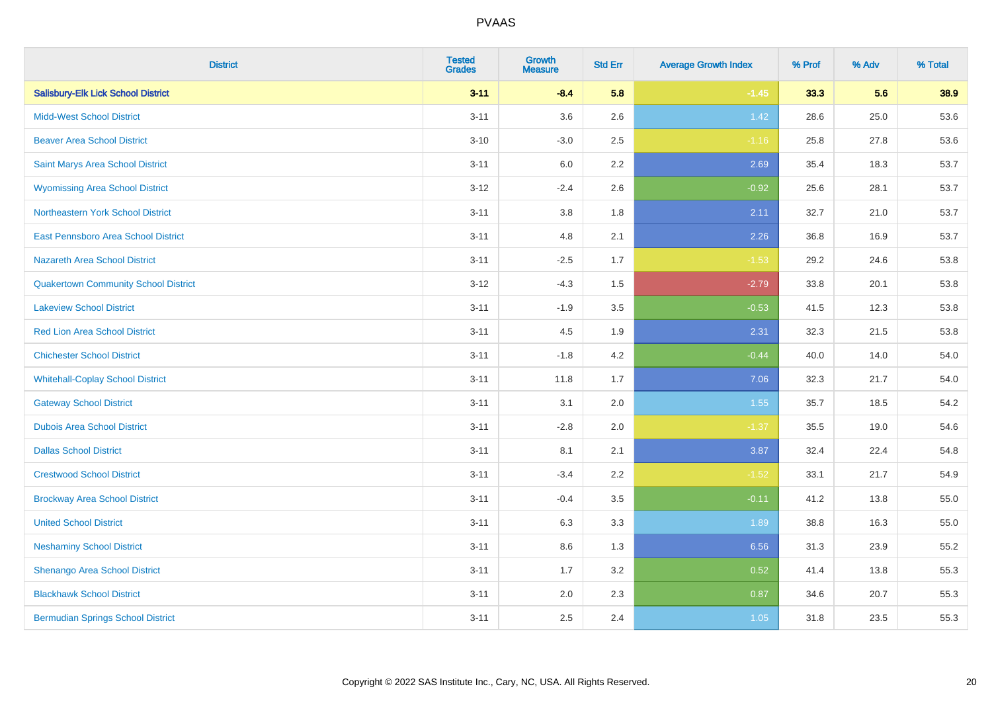| <b>District</b>                             | <b>Tested</b><br><b>Grades</b> | <b>Growth</b><br><b>Measure</b> | <b>Std Err</b> | <b>Average Growth Index</b> | % Prof | % Adv | % Total |
|---------------------------------------------|--------------------------------|---------------------------------|----------------|-----------------------------|--------|-------|---------|
| <b>Salisbury-Elk Lick School District</b>   | $3 - 11$                       | $-8.4$                          | 5.8            | $-1.45$                     | 33.3   | 5.6   | 38.9    |
| <b>Midd-West School District</b>            | $3 - 11$                       | 3.6                             | 2.6            | 1.42                        | 28.6   | 25.0  | 53.6    |
| <b>Beaver Area School District</b>          | $3 - 10$                       | $-3.0$                          | 2.5            | $-1.16$                     | 25.8   | 27.8  | 53.6    |
| Saint Marys Area School District            | $3 - 11$                       | $6.0\,$                         | 2.2            | 2.69                        | 35.4   | 18.3  | 53.7    |
| <b>Wyomissing Area School District</b>      | $3 - 12$                       | $-2.4$                          | 2.6            | $-0.92$                     | 25.6   | 28.1  | 53.7    |
| <b>Northeastern York School District</b>    | $3 - 11$                       | 3.8                             | 1.8            | 2.11                        | 32.7   | 21.0  | 53.7    |
| East Pennsboro Area School District         | $3 - 11$                       | 4.8                             | 2.1            | 2.26                        | 36.8   | 16.9  | 53.7    |
| <b>Nazareth Area School District</b>        | $3 - 11$                       | $-2.5$                          | 1.7            | $-1.53$                     | 29.2   | 24.6  | 53.8    |
| <b>Quakertown Community School District</b> | $3 - 12$                       | $-4.3$                          | 1.5            | $-2.79$                     | 33.8   | 20.1  | 53.8    |
| <b>Lakeview School District</b>             | $3 - 11$                       | $-1.9$                          | 3.5            | $-0.53$                     | 41.5   | 12.3  | 53.8    |
| <b>Red Lion Area School District</b>        | $3 - 11$                       | 4.5                             | 1.9            | 2.31                        | 32.3   | 21.5  | 53.8    |
| <b>Chichester School District</b>           | $3 - 11$                       | $-1.8$                          | 4.2            | $-0.44$                     | 40.0   | 14.0  | 54.0    |
| <b>Whitehall-Coplay School District</b>     | $3 - 11$                       | 11.8                            | 1.7            | 7.06                        | 32.3   | 21.7  | 54.0    |
| <b>Gateway School District</b>              | $3 - 11$                       | 3.1                             | 2.0            | 1.55                        | 35.7   | 18.5  | 54.2    |
| <b>Dubois Area School District</b>          | $3 - 11$                       | $-2.8$                          | 2.0            | $-1.37$                     | 35.5   | 19.0  | 54.6    |
| <b>Dallas School District</b>               | $3 - 11$                       | 8.1                             | 2.1            | 3.87                        | 32.4   | 22.4  | 54.8    |
| <b>Crestwood School District</b>            | $3 - 11$                       | $-3.4$                          | 2.2            | $-1.52$                     | 33.1   | 21.7  | 54.9    |
| <b>Brockway Area School District</b>        | $3 - 11$                       | $-0.4$                          | 3.5            | $-0.11$                     | 41.2   | 13.8  | 55.0    |
| <b>United School District</b>               | $3 - 11$                       | 6.3                             | 3.3            | 1.89                        | 38.8   | 16.3  | 55.0    |
| <b>Neshaminy School District</b>            | $3 - 11$                       | $8.6\,$                         | 1.3            | 6.56                        | 31.3   | 23.9  | 55.2    |
| Shenango Area School District               | $3 - 11$                       | 1.7                             | 3.2            | 0.52                        | 41.4   | 13.8  | 55.3    |
| <b>Blackhawk School District</b>            | $3 - 11$                       | 2.0                             | 2.3            | 0.87                        | 34.6   | 20.7  | 55.3    |
| <b>Bermudian Springs School District</b>    | $3 - 11$                       | 2.5                             | 2.4            | 1.05                        | 31.8   | 23.5  | 55.3    |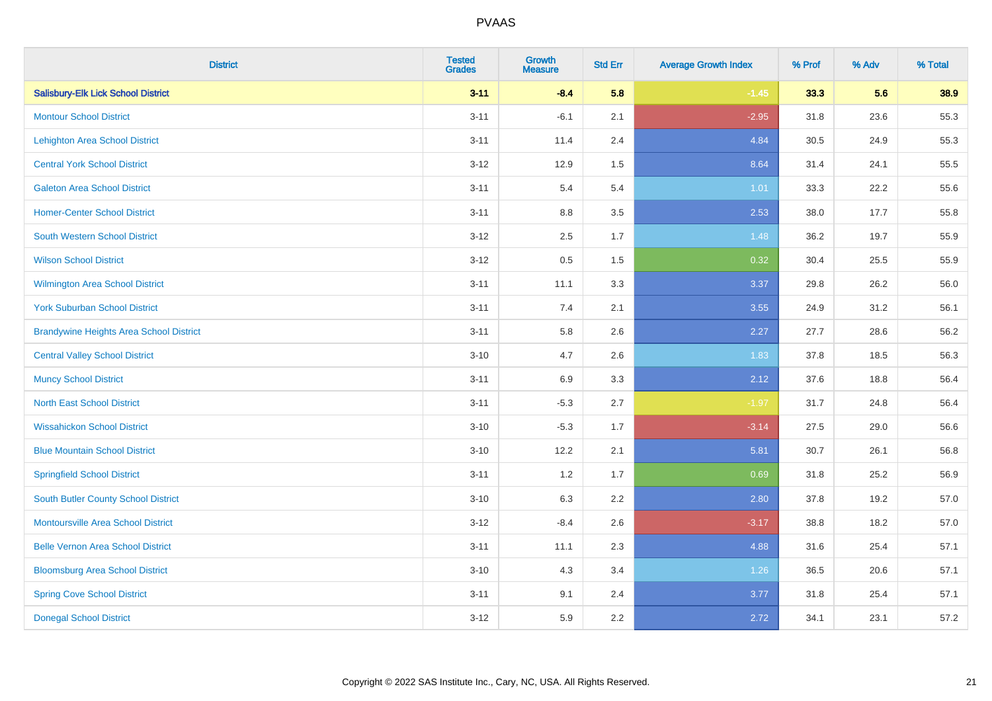| <b>District</b>                                | <b>Tested</b><br><b>Grades</b> | <b>Growth</b><br><b>Measure</b> | <b>Std Err</b> | <b>Average Growth Index</b> | % Prof | % Adv | % Total |
|------------------------------------------------|--------------------------------|---------------------------------|----------------|-----------------------------|--------|-------|---------|
| <b>Salisbury-Elk Lick School District</b>      | $3 - 11$                       | $-8.4$                          | 5.8            | $-1.45$                     | 33.3   | 5.6   | 38.9    |
| <b>Montour School District</b>                 | $3 - 11$                       | $-6.1$                          | 2.1            | $-2.95$                     | 31.8   | 23.6  | 55.3    |
| <b>Lehighton Area School District</b>          | $3 - 11$                       | 11.4                            | 2.4            | 4.84                        | 30.5   | 24.9  | 55.3    |
| <b>Central York School District</b>            | $3 - 12$                       | 12.9                            | 1.5            | 8.64                        | 31.4   | 24.1  | 55.5    |
| <b>Galeton Area School District</b>            | $3 - 11$                       | 5.4                             | 5.4            | 1.01                        | 33.3   | 22.2  | 55.6    |
| <b>Homer-Center School District</b>            | $3 - 11$                       | $8.8\,$                         | 3.5            | 2.53                        | 38.0   | 17.7  | 55.8    |
| <b>South Western School District</b>           | $3 - 12$                       | 2.5                             | 1.7            | 1.48                        | 36.2   | 19.7  | 55.9    |
| <b>Wilson School District</b>                  | $3 - 12$                       | 0.5                             | 1.5            | 0.32                        | 30.4   | 25.5  | 55.9    |
| <b>Wilmington Area School District</b>         | $3 - 11$                       | 11.1                            | 3.3            | 3.37                        | 29.8   | 26.2  | 56.0    |
| <b>York Suburban School District</b>           | $3 - 11$                       | 7.4                             | 2.1            | 3.55                        | 24.9   | 31.2  | 56.1    |
| <b>Brandywine Heights Area School District</b> | $3 - 11$                       | 5.8                             | 2.6            | 2.27                        | 27.7   | 28.6  | 56.2    |
| <b>Central Valley School District</b>          | $3 - 10$                       | 4.7                             | 2.6            | 1.83                        | 37.8   | 18.5  | 56.3    |
| <b>Muncy School District</b>                   | $3 - 11$                       | 6.9                             | 3.3            | 2.12                        | 37.6   | 18.8  | 56.4    |
| <b>North East School District</b>              | $3 - 11$                       | $-5.3$                          | 2.7            | $-1.97$                     | 31.7   | 24.8  | 56.4    |
| <b>Wissahickon School District</b>             | $3 - 10$                       | $-5.3$                          | 1.7            | $-3.14$                     | 27.5   | 29.0  | 56.6    |
| <b>Blue Mountain School District</b>           | $3 - 10$                       | 12.2                            | 2.1            | 5.81                        | 30.7   | 26.1  | 56.8    |
| <b>Springfield School District</b>             | $3 - 11$                       | 1.2                             | 1.7            | 0.69                        | 31.8   | 25.2  | 56.9    |
| <b>South Butler County School District</b>     | $3 - 10$                       | 6.3                             | 2.2            | 2.80                        | 37.8   | 19.2  | 57.0    |
| <b>Montoursville Area School District</b>      | $3 - 12$                       | $-8.4$                          | 2.6            | $-3.17$                     | 38.8   | 18.2  | 57.0    |
| <b>Belle Vernon Area School District</b>       | $3 - 11$                       | 11.1                            | 2.3            | 4.88                        | 31.6   | 25.4  | 57.1    |
| <b>Bloomsburg Area School District</b>         | $3 - 10$                       | 4.3                             | 3.4            | 1.26                        | 36.5   | 20.6  | 57.1    |
| <b>Spring Cove School District</b>             | $3 - 11$                       | 9.1                             | 2.4            | 3.77                        | 31.8   | 25.4  | 57.1    |
| <b>Donegal School District</b>                 | $3-12$                         | 5.9                             | 2.2            | 2.72                        | 34.1   | 23.1  | 57.2    |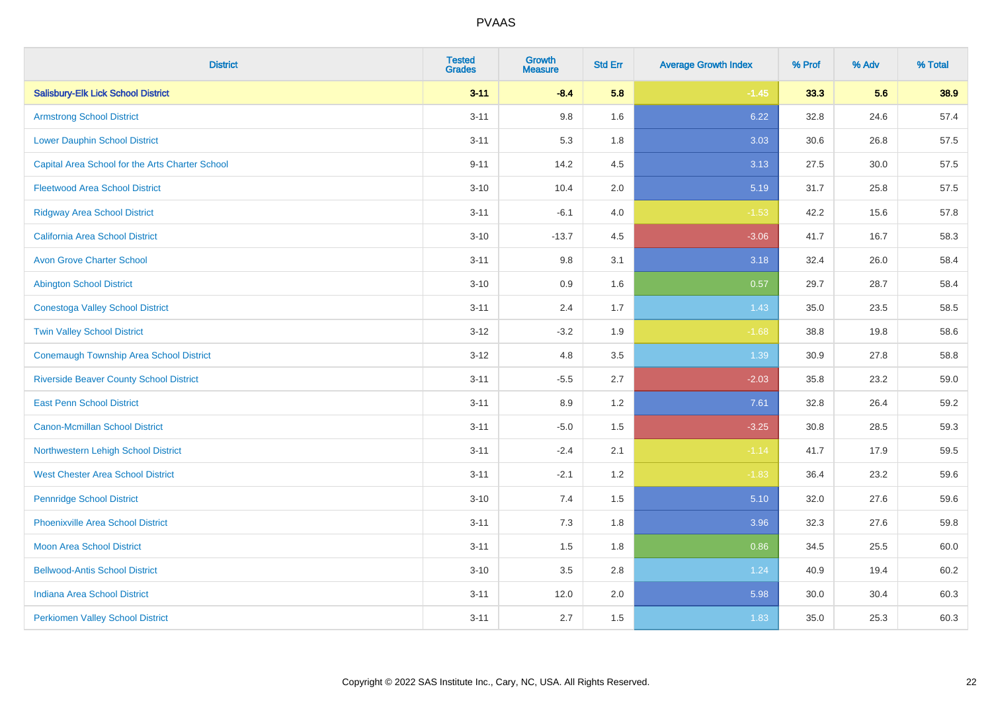| <b>District</b>                                 | <b>Tested</b><br><b>Grades</b> | <b>Growth</b><br><b>Measure</b> | <b>Std Err</b> | <b>Average Growth Index</b> | % Prof | % Adv | % Total |
|-------------------------------------------------|--------------------------------|---------------------------------|----------------|-----------------------------|--------|-------|---------|
| <b>Salisbury-Elk Lick School District</b>       | $3 - 11$                       | $-8.4$                          | 5.8            | $-1.45$                     | 33.3   | 5.6   | 38.9    |
| <b>Armstrong School District</b>                | $3 - 11$                       | 9.8                             | 1.6            | 6.22                        | 32.8   | 24.6  | 57.4    |
| <b>Lower Dauphin School District</b>            | $3 - 11$                       | 5.3                             | 1.8            | 3.03                        | 30.6   | 26.8  | 57.5    |
| Capital Area School for the Arts Charter School | $9 - 11$                       | 14.2                            | 4.5            | 3.13                        | 27.5   | 30.0  | 57.5    |
| <b>Fleetwood Area School District</b>           | $3 - 10$                       | 10.4                            | 2.0            | 5.19                        | 31.7   | 25.8  | 57.5    |
| <b>Ridgway Area School District</b>             | $3 - 11$                       | $-6.1$                          | 4.0            | $-1.53$                     | 42.2   | 15.6  | 57.8    |
| <b>California Area School District</b>          | $3 - 10$                       | $-13.7$                         | 4.5            | $-3.06$                     | 41.7   | 16.7  | 58.3    |
| <b>Avon Grove Charter School</b>                | $3 - 11$                       | 9.8                             | 3.1            | 3.18                        | 32.4   | 26.0  | 58.4    |
| <b>Abington School District</b>                 | $3 - 10$                       | 0.9                             | 1.6            | 0.57                        | 29.7   | 28.7  | 58.4    |
| <b>Conestoga Valley School District</b>         | $3 - 11$                       | 2.4                             | 1.7            | 1.43                        | 35.0   | 23.5  | 58.5    |
| <b>Twin Valley School District</b>              | $3 - 12$                       | $-3.2$                          | 1.9            | $-1.68$                     | 38.8   | 19.8  | 58.6    |
| <b>Conemaugh Township Area School District</b>  | $3 - 12$                       | 4.8                             | 3.5            | 1.39                        | 30.9   | 27.8  | 58.8    |
| <b>Riverside Beaver County School District</b>  | $3 - 11$                       | $-5.5$                          | 2.7            | $-2.03$                     | 35.8   | 23.2  | 59.0    |
| <b>East Penn School District</b>                | $3 - 11$                       | 8.9                             | 1.2            | 7.61                        | 32.8   | 26.4  | 59.2    |
| <b>Canon-Mcmillan School District</b>           | $3 - 11$                       | $-5.0$                          | 1.5            | $-3.25$                     | 30.8   | 28.5  | 59.3    |
| Northwestern Lehigh School District             | $3 - 11$                       | $-2.4$                          | 2.1            | $-1.14$                     | 41.7   | 17.9  | 59.5    |
| <b>West Chester Area School District</b>        | $3 - 11$                       | $-2.1$                          | 1.2            | $-1.83$                     | 36.4   | 23.2  | 59.6    |
| <b>Pennridge School District</b>                | $3 - 10$                       | 7.4                             | 1.5            | 5.10                        | 32.0   | 27.6  | 59.6    |
| <b>Phoenixville Area School District</b>        | $3 - 11$                       | 7.3                             | 1.8            | 3.96                        | 32.3   | 27.6  | 59.8    |
| <b>Moon Area School District</b>                | $3 - 11$                       | 1.5                             | 1.8            | 0.86                        | 34.5   | 25.5  | 60.0    |
| <b>Bellwood-Antis School District</b>           | $3 - 10$                       | 3.5                             | 2.8            | 1.24                        | 40.9   | 19.4  | 60.2    |
| <b>Indiana Area School District</b>             | $3 - 11$                       | 12.0                            | 2.0            | 5.98                        | 30.0   | 30.4  | 60.3    |
| <b>Perkiomen Valley School District</b>         | $3 - 11$                       | 2.7                             | 1.5            | 1.83                        | 35.0   | 25.3  | 60.3    |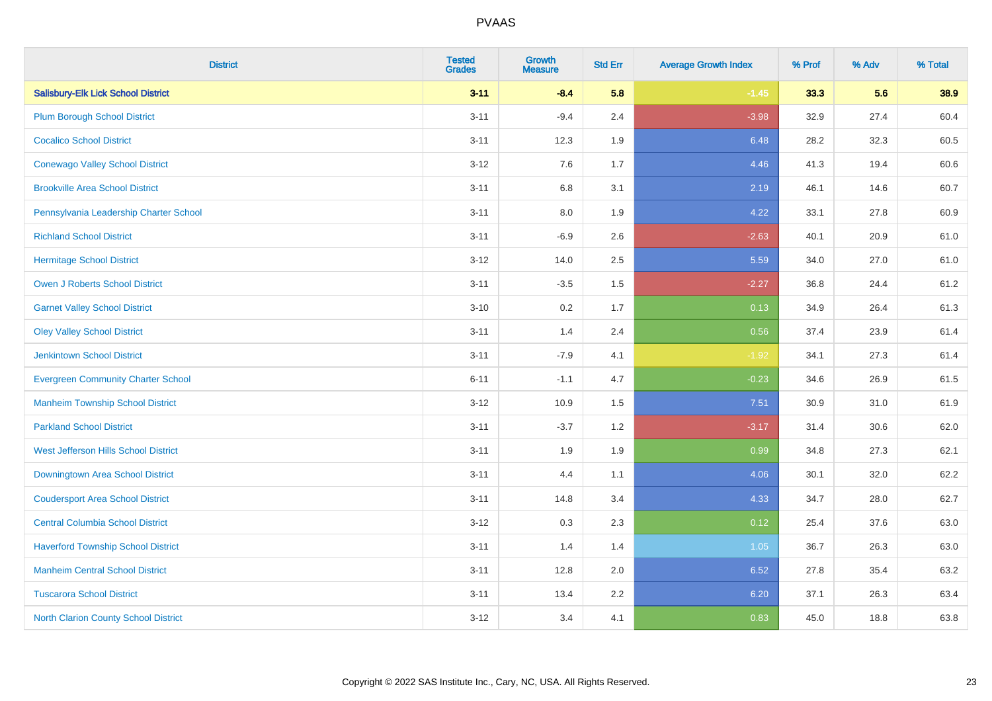| <b>District</b>                             | <b>Tested</b><br><b>Grades</b> | <b>Growth</b><br><b>Measure</b> | <b>Std Err</b> | <b>Average Growth Index</b> | % Prof | % Adv | % Total |
|---------------------------------------------|--------------------------------|---------------------------------|----------------|-----------------------------|--------|-------|---------|
| <b>Salisbury-Elk Lick School District</b>   | $3 - 11$                       | $-8.4$                          | 5.8            | $-1.45$                     | 33.3   | 5.6   | 38.9    |
| <b>Plum Borough School District</b>         | $3 - 11$                       | $-9.4$                          | 2.4            | $-3.98$                     | 32.9   | 27.4  | 60.4    |
| <b>Cocalico School District</b>             | $3 - 11$                       | 12.3                            | 1.9            | 6.48                        | 28.2   | 32.3  | 60.5    |
| <b>Conewago Valley School District</b>      | $3 - 12$                       | 7.6                             | 1.7            | 4.46                        | 41.3   | 19.4  | 60.6    |
| <b>Brookville Area School District</b>      | $3 - 11$                       | 6.8                             | 3.1            | 2.19                        | 46.1   | 14.6  | 60.7    |
| Pennsylvania Leadership Charter School      | $3 - 11$                       | 8.0                             | 1.9            | 4.22                        | 33.1   | 27.8  | 60.9    |
| <b>Richland School District</b>             | $3 - 11$                       | $-6.9$                          | 2.6            | $-2.63$                     | 40.1   | 20.9  | 61.0    |
| <b>Hermitage School District</b>            | $3 - 12$                       | 14.0                            | 2.5            | 5.59                        | 34.0   | 27.0  | 61.0    |
| <b>Owen J Roberts School District</b>       | $3 - 11$                       | $-3.5$                          | 1.5            | $-2.27$                     | 36.8   | 24.4  | 61.2    |
| <b>Garnet Valley School District</b>        | $3 - 10$                       | 0.2                             | 1.7            | 0.13                        | 34.9   | 26.4  | 61.3    |
| <b>Oley Valley School District</b>          | $3 - 11$                       | 1.4                             | 2.4            | 0.56                        | 37.4   | 23.9  | 61.4    |
| <b>Jenkintown School District</b>           | $3 - 11$                       | $-7.9$                          | 4.1            | $-1.92$                     | 34.1   | 27.3  | 61.4    |
| <b>Evergreen Community Charter School</b>   | $6 - 11$                       | $-1.1$                          | 4.7            | $-0.23$                     | 34.6   | 26.9  | 61.5    |
| <b>Manheim Township School District</b>     | $3 - 12$                       | 10.9                            | 1.5            | 7.51                        | 30.9   | 31.0  | 61.9    |
| <b>Parkland School District</b>             | $3 - 11$                       | $-3.7$                          | 1.2            | $-3.17$                     | 31.4   | 30.6  | 62.0    |
| West Jefferson Hills School District        | $3 - 11$                       | 1.9                             | 1.9            | 0.99                        | 34.8   | 27.3  | 62.1    |
| Downingtown Area School District            | $3 - 11$                       | 4.4                             | 1.1            | 4.06                        | 30.1   | 32.0  | 62.2    |
| <b>Coudersport Area School District</b>     | $3 - 11$                       | 14.8                            | 3.4            | 4.33                        | 34.7   | 28.0  | 62.7    |
| <b>Central Columbia School District</b>     | $3 - 12$                       | 0.3                             | 2.3            | 0.12                        | 25.4   | 37.6  | 63.0    |
| <b>Haverford Township School District</b>   | $3 - 11$                       | 1.4                             | 1.4            | 1.05                        | 36.7   | 26.3  | 63.0    |
| <b>Manheim Central School District</b>      | $3 - 11$                       | 12.8                            | 2.0            | 6.52                        | 27.8   | 35.4  | 63.2    |
| <b>Tuscarora School District</b>            | $3 - 11$                       | 13.4                            | 2.2            | 6.20                        | 37.1   | 26.3  | 63.4    |
| <b>North Clarion County School District</b> | $3 - 12$                       | 3.4                             | 4.1            | 0.83                        | 45.0   | 18.8  | 63.8    |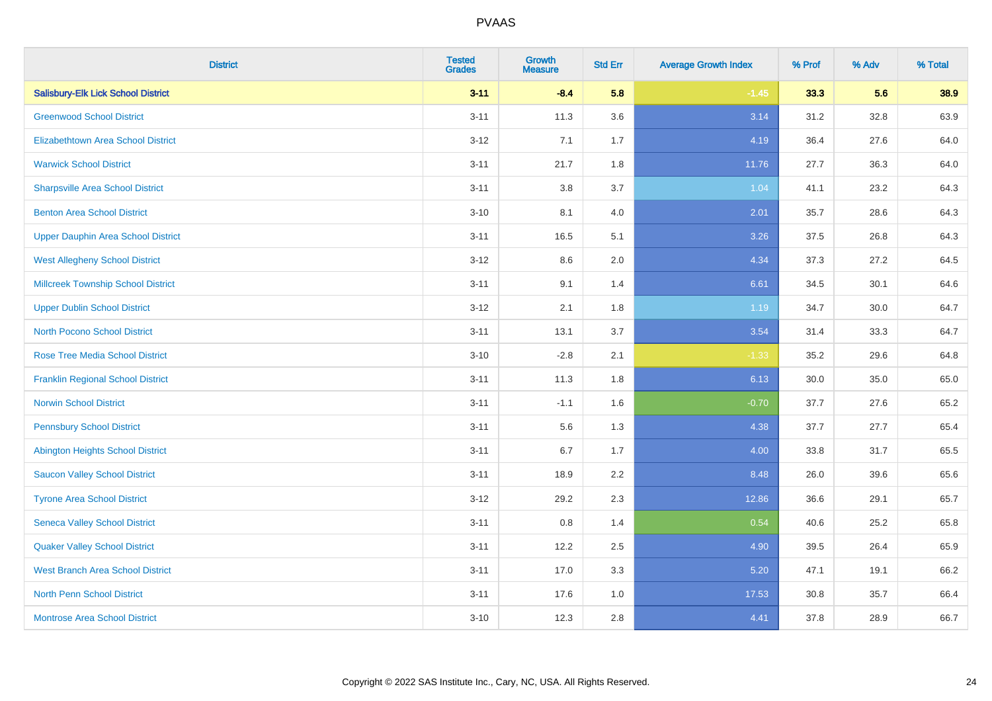| <b>District</b>                           | <b>Tested</b><br><b>Grades</b> | <b>Growth</b><br><b>Measure</b> | <b>Std Err</b> | <b>Average Growth Index</b> | % Prof | % Adv | % Total |
|-------------------------------------------|--------------------------------|---------------------------------|----------------|-----------------------------|--------|-------|---------|
| <b>Salisbury-Elk Lick School District</b> | $3 - 11$                       | $-8.4$                          | 5.8            | $-1.45$                     | 33.3   | 5.6   | 38.9    |
| <b>Greenwood School District</b>          | $3 - 11$                       | 11.3                            | 3.6            | 3.14                        | 31.2   | 32.8  | 63.9    |
| <b>Elizabethtown Area School District</b> | $3 - 12$                       | 7.1                             | 1.7            | 4.19                        | 36.4   | 27.6  | 64.0    |
| <b>Warwick School District</b>            | $3 - 11$                       | 21.7                            | 1.8            | 11.76                       | 27.7   | 36.3  | 64.0    |
| <b>Sharpsville Area School District</b>   | $3 - 11$                       | 3.8                             | 3.7            | 1.04                        | 41.1   | 23.2  | 64.3    |
| <b>Benton Area School District</b>        | $3 - 10$                       | 8.1                             | 4.0            | 2.01                        | 35.7   | 28.6  | 64.3    |
| <b>Upper Dauphin Area School District</b> | $3 - 11$                       | 16.5                            | 5.1            | 3.26                        | 37.5   | 26.8  | 64.3    |
| <b>West Allegheny School District</b>     | $3 - 12$                       | $8.6\,$                         | 2.0            | 4.34                        | 37.3   | 27.2  | 64.5    |
| <b>Millcreek Township School District</b> | $3 - 11$                       | 9.1                             | 1.4            | 6.61                        | 34.5   | 30.1  | 64.6    |
| <b>Upper Dublin School District</b>       | $3 - 12$                       | 2.1                             | 1.8            | 1.19                        | 34.7   | 30.0  | 64.7    |
| <b>North Pocono School District</b>       | $3 - 11$                       | 13.1                            | 3.7            | 3.54                        | 31.4   | 33.3  | 64.7    |
| <b>Rose Tree Media School District</b>    | $3 - 10$                       | $-2.8$                          | 2.1            | $-1.33$                     | 35.2   | 29.6  | 64.8    |
| <b>Franklin Regional School District</b>  | $3 - 11$                       | 11.3                            | 1.8            | 6.13                        | 30.0   | 35.0  | 65.0    |
| <b>Norwin School District</b>             | $3 - 11$                       | $-1.1$                          | 1.6            | $-0.70$                     | 37.7   | 27.6  | 65.2    |
| <b>Pennsbury School District</b>          | $3 - 11$                       | 5.6                             | 1.3            | 4.38                        | 37.7   | 27.7  | 65.4    |
| <b>Abington Heights School District</b>   | $3 - 11$                       | 6.7                             | 1.7            | 4.00                        | 33.8   | 31.7  | 65.5    |
| <b>Saucon Valley School District</b>      | $3 - 11$                       | 18.9                            | 2.2            | 8.48                        | 26.0   | 39.6  | 65.6    |
| <b>Tyrone Area School District</b>        | $3 - 12$                       | 29.2                            | 2.3            | 12.86                       | 36.6   | 29.1  | 65.7    |
| <b>Seneca Valley School District</b>      | $3 - 11$                       | $0.8\,$                         | 1.4            | 0.54                        | 40.6   | 25.2  | 65.8    |
| <b>Quaker Valley School District</b>      | $3 - 11$                       | 12.2                            | 2.5            | 4.90                        | 39.5   | 26.4  | 65.9    |
| <b>West Branch Area School District</b>   | $3 - 11$                       | 17.0                            | 3.3            | 5.20                        | 47.1   | 19.1  | 66.2    |
| North Penn School District                | $3 - 11$                       | 17.6                            | 1.0            | 17.53                       | 30.8   | 35.7  | 66.4    |
| <b>Montrose Area School District</b>      | $3 - 10$                       | 12.3                            | 2.8            | 4.41                        | 37.8   | 28.9  | 66.7    |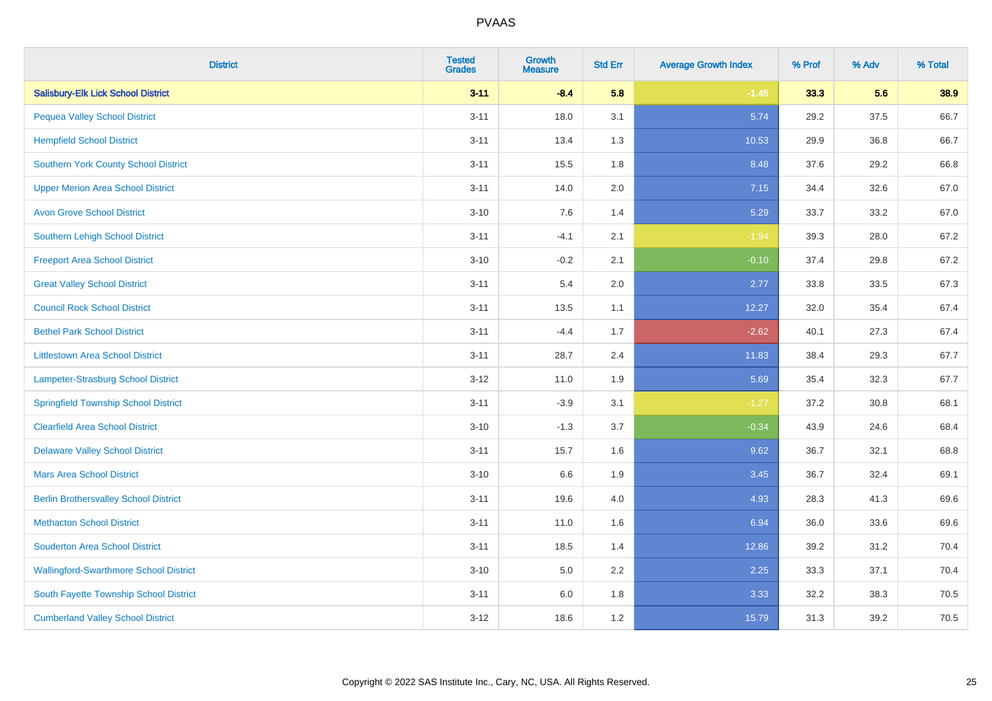| <b>District</b>                               | <b>Tested</b><br><b>Grades</b> | <b>Growth</b><br><b>Measure</b> | <b>Std Err</b> | <b>Average Growth Index</b> | % Prof | % Adv | % Total |
|-----------------------------------------------|--------------------------------|---------------------------------|----------------|-----------------------------|--------|-------|---------|
| <b>Salisbury-Elk Lick School District</b>     | $3 - 11$                       | $-8.4$                          | 5.8            | $-1.45$                     | 33.3   | 5.6   | 38.9    |
| <b>Pequea Valley School District</b>          | $3 - 11$                       | 18.0                            | 3.1            | 5.74                        | 29.2   | 37.5  | 66.7    |
| <b>Hempfield School District</b>              | $3 - 11$                       | 13.4                            | 1.3            | 10.53                       | 29.9   | 36.8  | 66.7    |
| <b>Southern York County School District</b>   | $3 - 11$                       | 15.5                            | 1.8            | 8.48                        | 37.6   | 29.2  | 66.8    |
| <b>Upper Merion Area School District</b>      | $3 - 11$                       | 14.0                            | 2.0            | 7.15                        | 34.4   | 32.6  | 67.0    |
| <b>Avon Grove School District</b>             | $3 - 10$                       | 7.6                             | 1.4            | 5.29                        | 33.7   | 33.2  | 67.0    |
| Southern Lehigh School District               | $3 - 11$                       | $-4.1$                          | 2.1            | $-1.94$                     | 39.3   | 28.0  | 67.2    |
| <b>Freeport Area School District</b>          | $3 - 10$                       | $-0.2$                          | 2.1            | $-0.10$                     | 37.4   | 29.8  | 67.2    |
| <b>Great Valley School District</b>           | $3 - 11$                       | 5.4                             | 2.0            | 2.77                        | 33.8   | 33.5  | 67.3    |
| <b>Council Rock School District</b>           | $3 - 11$                       | 13.5                            | 1.1            | 12.27                       | 32.0   | 35.4  | 67.4    |
| <b>Bethel Park School District</b>            | $3 - 11$                       | $-4.4$                          | 1.7            | $-2.62$                     | 40.1   | 27.3  | 67.4    |
| <b>Littlestown Area School District</b>       | $3 - 11$                       | 28.7                            | 2.4            | 11.83                       | 38.4   | 29.3  | 67.7    |
| Lampeter-Strasburg School District            | $3 - 12$                       | 11.0                            | 1.9            | 5.69                        | 35.4   | 32.3  | 67.7    |
| <b>Springfield Township School District</b>   | $3 - 11$                       | $-3.9$                          | 3.1            | $-1.27$                     | 37.2   | 30.8  | 68.1    |
| <b>Clearfield Area School District</b>        | $3 - 10$                       | $-1.3$                          | 3.7            | $-0.34$                     | 43.9   | 24.6  | 68.4    |
| <b>Delaware Valley School District</b>        | $3 - 11$                       | 15.7                            | 1.6            | 9.62                        | 36.7   | 32.1  | 68.8    |
| <b>Mars Area School District</b>              | $3 - 10$                       | 6.6                             | 1.9            | 3.45                        | 36.7   | 32.4  | 69.1    |
| <b>Berlin Brothersvalley School District</b>  | $3 - 11$                       | 19.6                            | 4.0            | 4.93                        | 28.3   | 41.3  | 69.6    |
| <b>Methacton School District</b>              | $3 - 11$                       | 11.0                            | 1.6            | 6.94                        | 36.0   | 33.6  | 69.6    |
| <b>Souderton Area School District</b>         | $3 - 11$                       | 18.5                            | 1.4            | 12.86                       | 39.2   | 31.2  | 70.4    |
| <b>Wallingford-Swarthmore School District</b> | $3 - 10$                       | 5.0                             | 2.2            | 2.25                        | 33.3   | 37.1  | 70.4    |
| South Fayette Township School District        | $3 - 11$                       | 6.0                             | 1.8            | 3.33                        | 32.2   | 38.3  | 70.5    |
| <b>Cumberland Valley School District</b>      | $3 - 12$                       | 18.6                            | 1.2            | 15.79                       | 31.3   | 39.2  | 70.5    |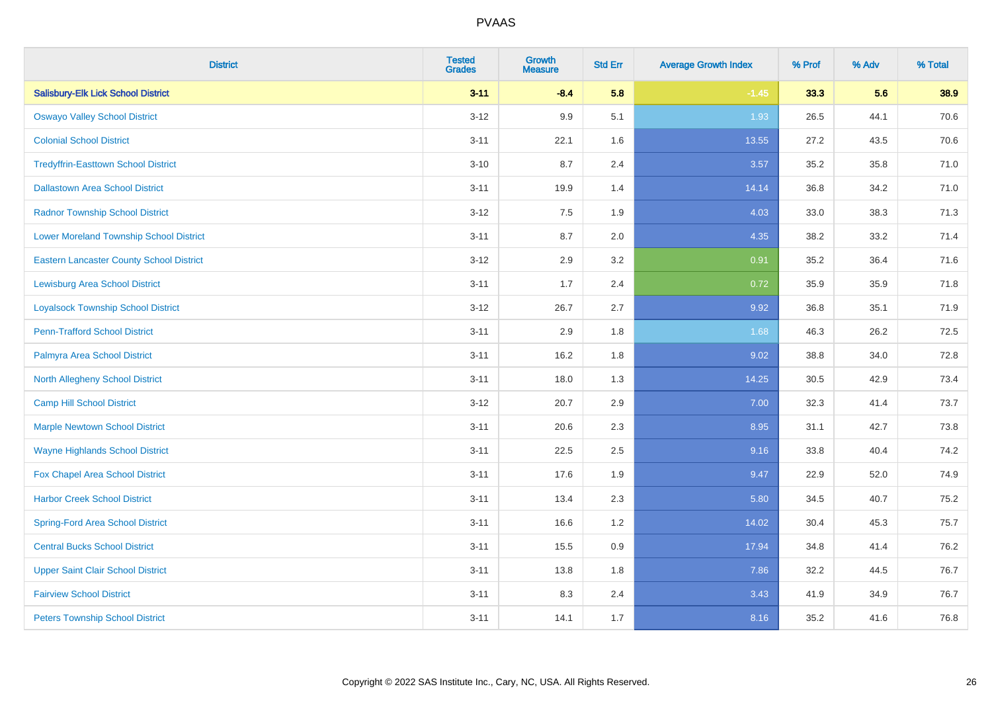| <b>District</b>                                 | <b>Tested</b><br><b>Grades</b> | <b>Growth</b><br><b>Measure</b> | <b>Std Err</b> | <b>Average Growth Index</b> | % Prof | % Adv | % Total |
|-------------------------------------------------|--------------------------------|---------------------------------|----------------|-----------------------------|--------|-------|---------|
| <b>Salisbury-Elk Lick School District</b>       | $3 - 11$                       | $-8.4$                          | 5.8            | $-1.45$                     | 33.3   | 5.6   | 38.9    |
| <b>Oswayo Valley School District</b>            | $3 - 12$                       | 9.9                             | 5.1            | 1.93                        | 26.5   | 44.1  | 70.6    |
| <b>Colonial School District</b>                 | $3 - 11$                       | 22.1                            | 1.6            | 13.55                       | 27.2   | 43.5  | 70.6    |
| <b>Tredyffrin-Easttown School District</b>      | $3 - 10$                       | 8.7                             | 2.4            | 3.57                        | 35.2   | 35.8  | 71.0    |
| <b>Dallastown Area School District</b>          | $3 - 11$                       | 19.9                            | 1.4            | 14.14                       | 36.8   | 34.2  | 71.0    |
| <b>Radnor Township School District</b>          | $3 - 12$                       | 7.5                             | 1.9            | 4.03                        | 33.0   | 38.3  | 71.3    |
| <b>Lower Moreland Township School District</b>  | $3 - 11$                       | 8.7                             | 2.0            | 4.35                        | 38.2   | 33.2  | 71.4    |
| <b>Eastern Lancaster County School District</b> | $3 - 12$                       | 2.9                             | 3.2            | 0.91                        | 35.2   | 36.4  | 71.6    |
| <b>Lewisburg Area School District</b>           | $3 - 11$                       | 1.7                             | 2.4            | 0.72                        | 35.9   | 35.9  | 71.8    |
| <b>Loyalsock Township School District</b>       | $3-12$                         | 26.7                            | 2.7            | 9.92                        | 36.8   | 35.1  | 71.9    |
| <b>Penn-Trafford School District</b>            | $3 - 11$                       | 2.9                             | 1.8            | 1.68                        | 46.3   | 26.2  | 72.5    |
| Palmyra Area School District                    | $3 - 11$                       | 16.2                            | 1.8            | 9.02                        | 38.8   | 34.0  | 72.8    |
| North Allegheny School District                 | $3 - 11$                       | 18.0                            | 1.3            | 14.25                       | 30.5   | 42.9  | 73.4    |
| <b>Camp Hill School District</b>                | $3 - 12$                       | 20.7                            | 2.9            | 7.00                        | 32.3   | 41.4  | 73.7    |
| <b>Marple Newtown School District</b>           | $3 - 11$                       | 20.6                            | 2.3            | 8.95                        | 31.1   | 42.7  | 73.8    |
| <b>Wayne Highlands School District</b>          | $3 - 11$                       | 22.5                            | 2.5            | 9.16                        | 33.8   | 40.4  | 74.2    |
| Fox Chapel Area School District                 | $3 - 11$                       | 17.6                            | 1.9            | 9.47                        | 22.9   | 52.0  | 74.9    |
| <b>Harbor Creek School District</b>             | $3 - 11$                       | 13.4                            | 2.3            | 5.80                        | 34.5   | 40.7  | 75.2    |
| <b>Spring-Ford Area School District</b>         | $3 - 11$                       | 16.6                            | 1.2            | 14.02                       | 30.4   | 45.3  | 75.7    |
| <b>Central Bucks School District</b>            | $3 - 11$                       | 15.5                            | 0.9            | 17.94                       | 34.8   | 41.4  | 76.2    |
| <b>Upper Saint Clair School District</b>        | $3 - 11$                       | 13.8                            | 1.8            | 7.86                        | 32.2   | 44.5  | 76.7    |
| <b>Fairview School District</b>                 | $3 - 11$                       | 8.3                             | 2.4            | 3.43                        | 41.9   | 34.9  | 76.7    |
| <b>Peters Township School District</b>          | $3 - 11$                       | 14.1                            | 1.7            | 8.16                        | 35.2   | 41.6  | 76.8    |